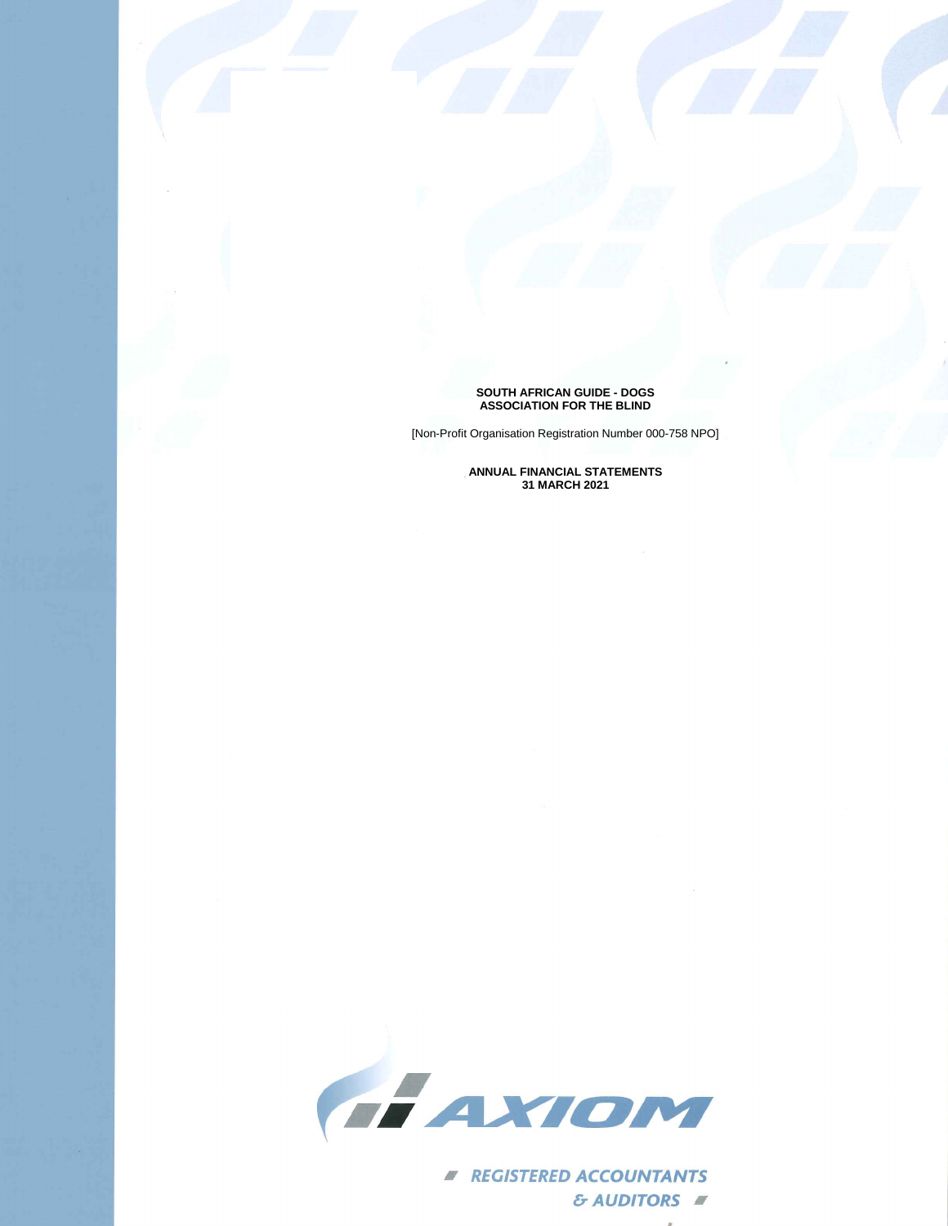[Non-Profit Organisation Registration Number 000-758 NPO]

**ANNUAL FINANCIAL STATEMENTS 31 MARCH 2021**



**EN REGISTERED ACCOUNTANTS** & AUDITORS #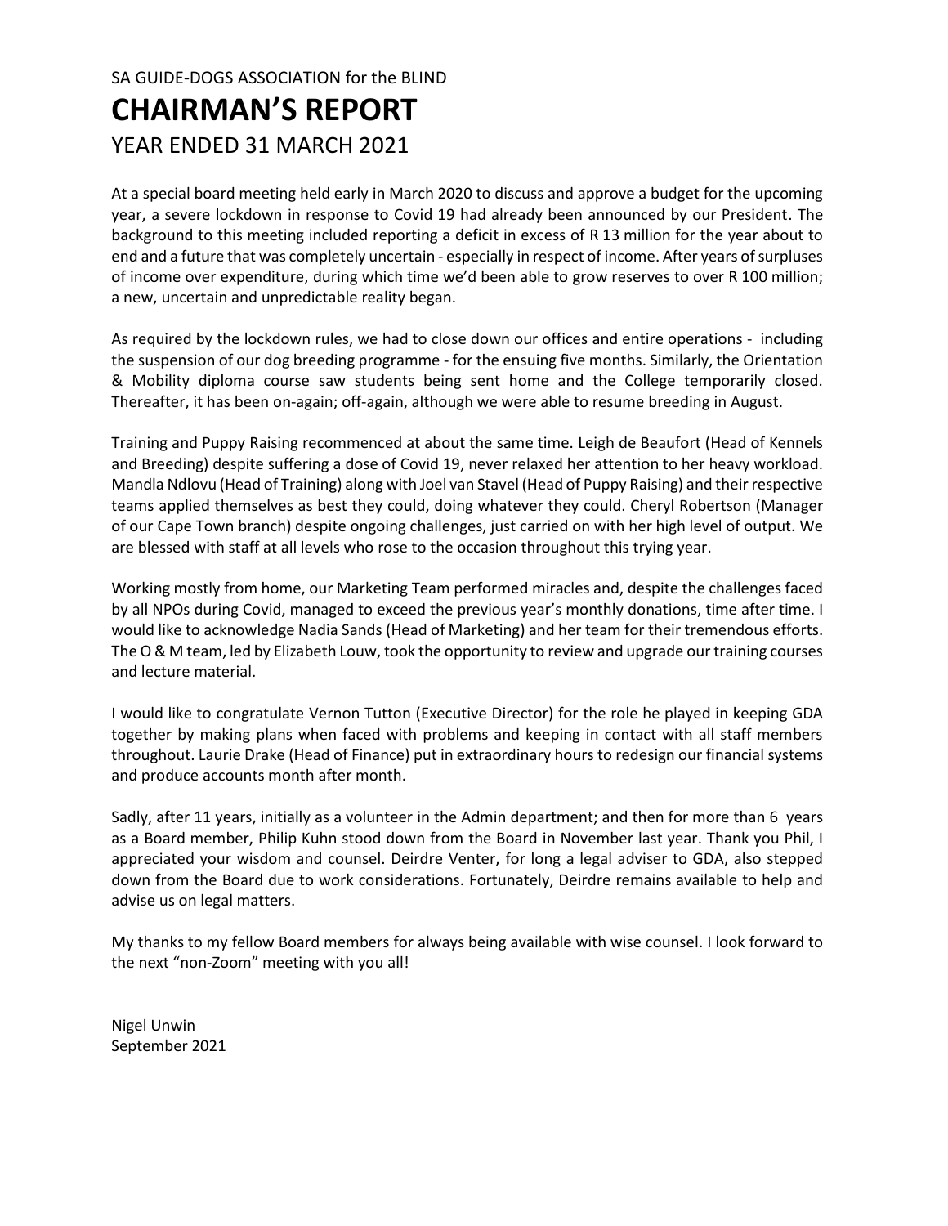# SA GUIDE-DOGS ASSOCIATION for the BLIND **CHAIRMAN'S REPORT** YEAR ENDED 31 MARCH 2021

At a special board meeting held early in March 2020 to discuss and approve a budget for the upcoming year, a severe lockdown in response to Covid 19 had already been announced by our President. The background to this meeting included reporting a deficit in excess of R 13 million for the year about to end and a future that was completely uncertain - especially in respect of income. After years of surpluses of income over expenditure, during which time we'd been able to grow reserves to over R 100 million; a new, uncertain and unpredictable reality began.

As required by the lockdown rules, we had to close down our offices and entire operations - including the suspension of our dog breeding programme - for the ensuing five months. Similarly, the Orientation & Mobility diploma course saw students being sent home and the College temporarily closed. Thereafter, it has been on-again; off-again, although we were able to resume breeding in August.

Training and Puppy Raising recommenced at about the same time. Leigh de Beaufort (Head of Kennels and Breeding) despite suffering a dose of Covid 19, never relaxed her attention to her heavy workload. Mandla Ndlovu (Head of Training) along with Joel van Stavel (Head of Puppy Raising) and their respective teams applied themselves as best they could, doing whatever they could. Cheryl Robertson (Manager of our Cape Town branch) despite ongoing challenges, just carried on with her high level of output. We are blessed with staff at all levels who rose to the occasion throughout this trying year.

Working mostly from home, our Marketing Team performed miracles and, despite the challenges faced by all NPOs during Covid, managed to exceed the previous year's monthly donations, time after time. I would like to acknowledge Nadia Sands (Head of Marketing) and her team for their tremendous efforts. The O & M team, led by Elizabeth Louw, took the opportunity to review and upgrade our training courses and lecture material.

I would like to congratulate Vernon Tutton (Executive Director) for the role he played in keeping GDA together by making plans when faced with problems and keeping in contact with all staff members throughout. Laurie Drake (Head of Finance) put in extraordinary hours to redesign our financial systems and produce accounts month after month.

Sadly, after 11 years, initially as a volunteer in the Admin department; and then for more than 6 years as a Board member, Philip Kuhn stood down from the Board in November last year. Thank you Phil, I appreciated your wisdom and counsel. Deirdre Venter, for long a legal adviser to GDA, also stepped down from the Board due to work considerations. Fortunately, Deirdre remains available to help and advise us on legal matters.

My thanks to my fellow Board members for always being available with wise counsel. I look forward to the next "non-Zoom" meeting with you all!

Nigel Unwin September 2021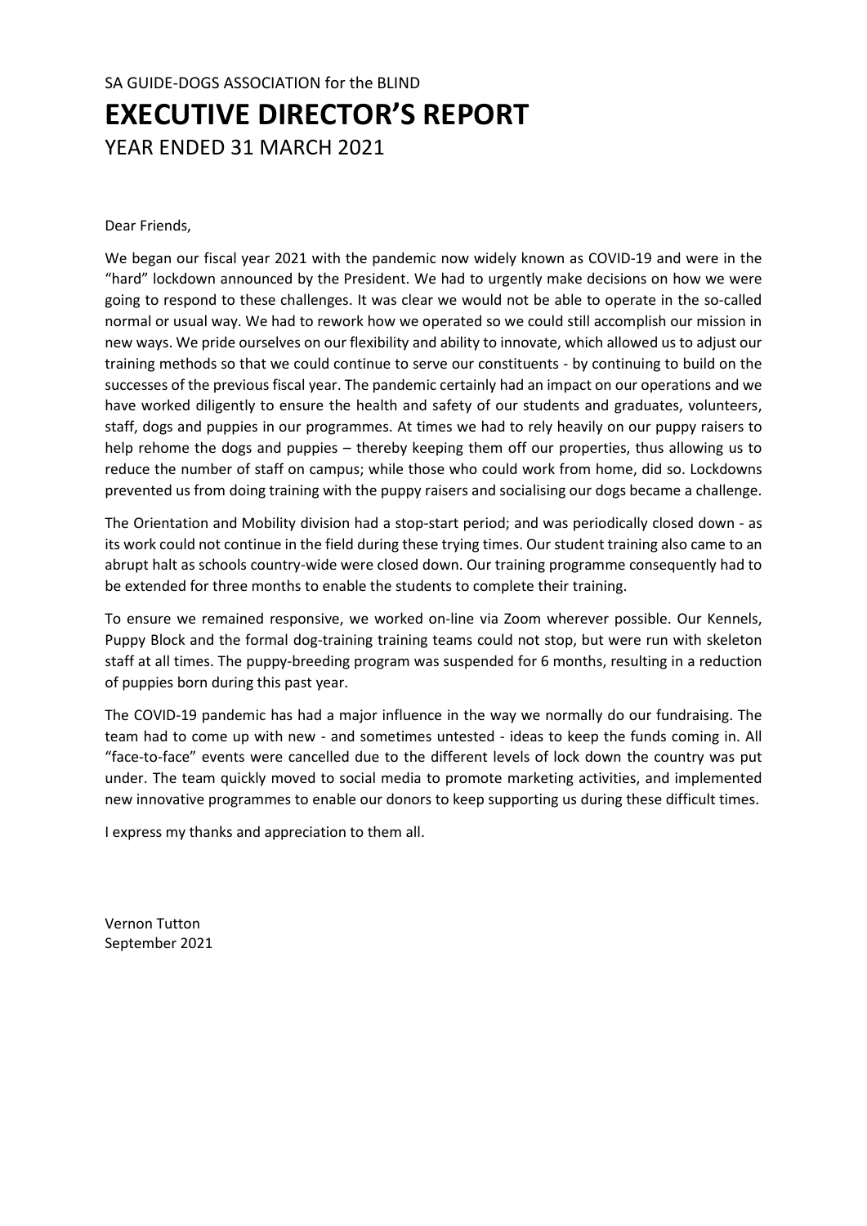# **EXECUTIVE DIRECTOR'S REPORT** YEAR ENDED 31 MARCH 2021

Dear Friends,

We began our fiscal year 2021 with the pandemic now widely known as COVID-19 and were in the "hard" lockdown announced by the President. We had to urgently make decisions on how we were going to respond to these challenges. It was clear we would not be able to operate in the so-called normal or usual way. We had to rework how we operated so we could still accomplish our mission in new ways. We pride ourselves on our flexibility and ability to innovate, which allowed us to adjust our training methods so that we could continue to serve our constituents - by continuing to build on the successes of the previous fiscal year. The pandemic certainly had an impact on our operations and we have worked diligently to ensure the health and safety of our students and graduates, volunteers, staff, dogs and puppies in our programmes. At times we had to rely heavily on our puppy raisers to help rehome the dogs and puppies – thereby keeping them off our properties, thus allowing us to reduce the number of staff on campus; while those who could work from home, did so. Lockdowns prevented us from doing training with the puppy raisers and socialising our dogs became a challenge.

The Orientation and Mobility division had a stop-start period; and was periodically closed down - as its work could not continue in the field during these trying times. Our student training also came to an abrupt halt as schools country-wide were closed down. Our training programme consequently had to be extended for three months to enable the students to complete their training.

To ensure we remained responsive, we worked on-line via Zoom wherever possible. Our Kennels, Puppy Block and the formal dog-training training teams could not stop, but were run with skeleton staff at all times. The puppy-breeding program was suspended for 6 months, resulting in a reduction of puppies born during this past year.

The COVID-19 pandemic has had a major influence in the way we normally do our fundraising. The team had to come up with new - and sometimes untested - ideas to keep the funds coming in. All "face-to-face" events were cancelled due to the different levels of lock down the country was put under. The team quickly moved to social media to promote marketing activities, and implemented new innovative programmes to enable our donors to keep supporting us during these difficult times.

I express my thanks and appreciation to them all.

Vernon Tutton September 2021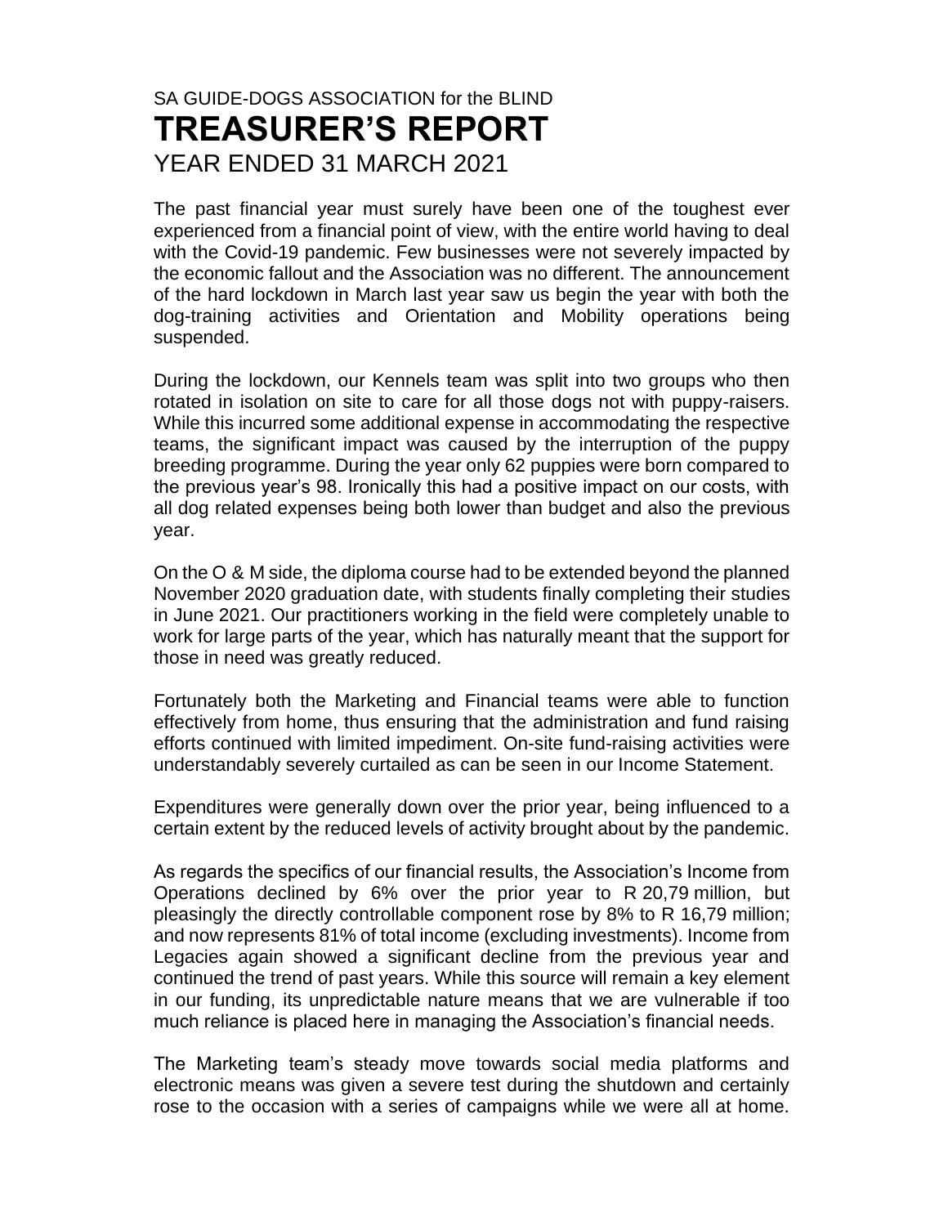# SA GUIDE-DOGS ASSOCIATION for the BLIND **TREASURER'S REPORT** YEAR ENDED 31 MARCH 2021

The past financial year must surely have been one of the toughest ever experienced from a financial point of view, with the entire world having to deal with the Covid-19 pandemic. Few businesses were not severely impacted by the economic fallout and the Association was no different. The announcement of the hard lockdown in March last year saw us begin the year with both the dog-training activities and Orientation and Mobility operations being suspended.

During the lockdown, our Kennels team was split into two groups who then rotated in isolation on site to care for all those dogs not with puppy-raisers. While this incurred some additional expense in accommodating the respective teams, the significant impact was caused by the interruption of the puppy breeding programme. During the year only 62 puppies were born compared to the previous year's 98. Ironically this had a positive impact on our costs, with all dog related expenses being both lower than budget and also the previous year.

On the O & M side, the diploma course had to be extended beyond the planned November 2020 graduation date, with students finally completing their studies in June 2021. Our practitioners working in the field were completely unable to work for large parts of the year, which has naturally meant that the support for those in need was greatly reduced.

Fortunately both the Marketing and Financial teams were able to function effectively from home, thus ensuring that the administration and fund raising efforts continued with limited impediment. On-site fund-raising activities were understandably severely curtailed as can be seen in our Income Statement.

Expenditures were generally down over the prior year, being influenced to a certain extent by the reduced levels of activity brought about by the pandemic.

As regards the specifics of our financial results, the Association's Income from Operations declined by 6% over the prior year to R 20,79 million, but pleasingly the directly controllable component rose by 8% to R 16,79 million; and now represents 81% of total income (excluding investments). Income from Legacies again showed a significant decline from the previous year and continued the trend of past years. While this source will remain a key element in our funding, its unpredictable nature means that we are vulnerable if too much reliance is placed here in managing the Association's financial needs.

The Marketing team's steady move towards social media platforms and electronic means was given a severe test during the shutdown and certainly rose to the occasion with a series of campaigns while we were all at home.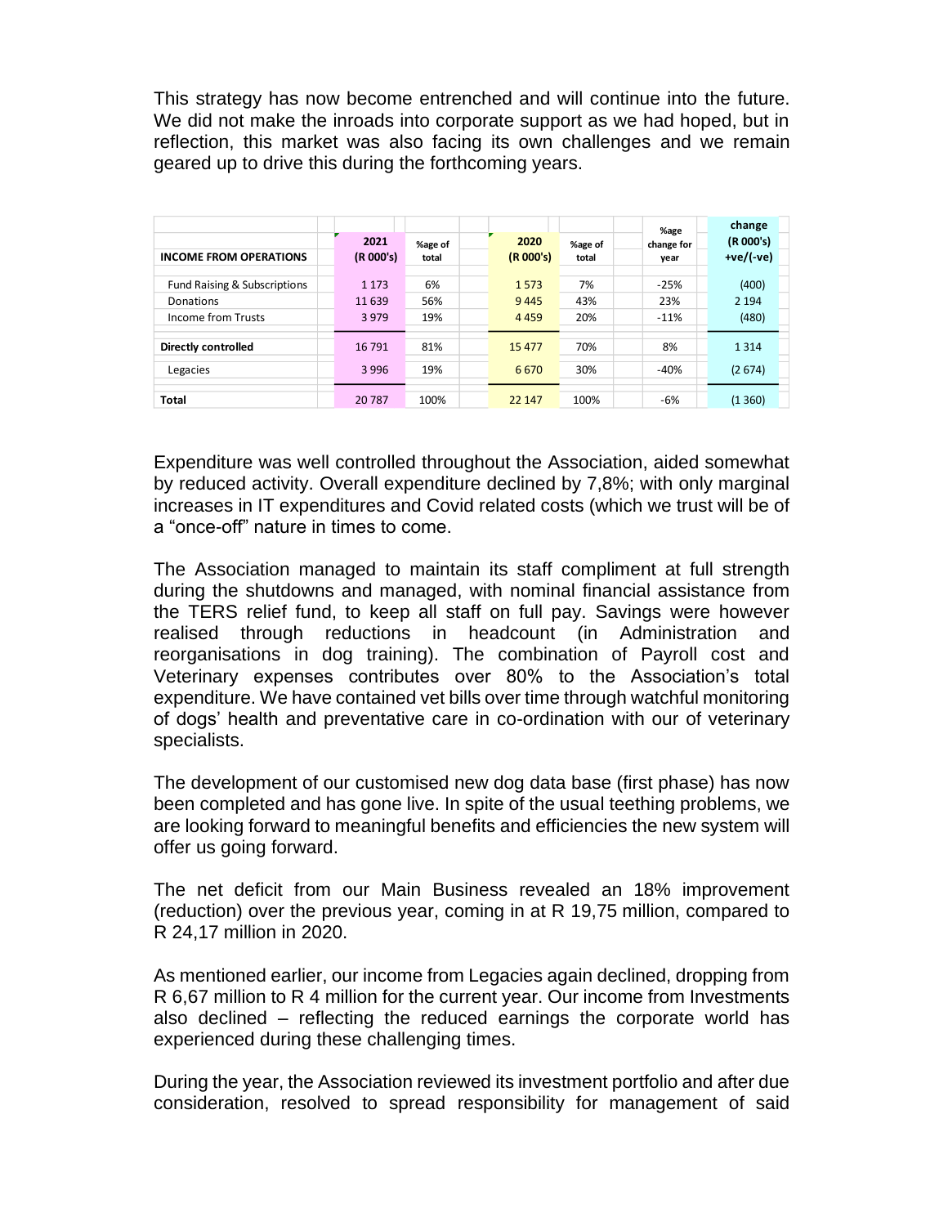This strategy has now become entrenched and will continue into the future. We did not make the inroads into corporate support as we had hoped, but in reflection, this market was also facing its own challenges and we remain geared up to drive this during the forthcoming years.

| <b>INCOME FROM OPERATIONS</b> | 2021<br>(R 000's) | %age of<br>total | 2020<br>(R 000's) | %age of<br>total | %age<br>change for<br>year | change<br>(R 000's)<br>$+ve/(-ve)$ |
|-------------------------------|-------------------|------------------|-------------------|------------------|----------------------------|------------------------------------|
| Fund Raising & Subscriptions  | 1 1 7 3           | 6%               | 1573              | 7%               | $-25%$                     | (400)                              |
| Donations                     | 11 639            | 56%              | 9445              | 43%              | 23%                        | 2 1 9 4                            |
| Income from Trusts            | 3 9 7 9           | 19%              | 4459              | 20%              | $-11%$                     | (480)                              |
| Directly controlled           | 16 791            | 81%              | 15 477            | 70%              | 8%                         | 1 3 1 4                            |
| Legacies                      | 3 9 9 6           | 19%              | 6670              | 30%              | $-40%$                     | (2674)                             |
| <b>Total</b>                  | 20 787            | 100%             | 22 147            | 100%             | -6%                        | (1360)                             |

Expenditure was well controlled throughout the Association, aided somewhat by reduced activity. Overall expenditure declined by 7,8%; with only marginal increases in IT expenditures and Covid related costs (which we trust will be of a "once-off" nature in times to come.

The Association managed to maintain its staff compliment at full strength during the shutdowns and managed, with nominal financial assistance from the TERS relief fund, to keep all staff on full pay. Savings were however realised through reductions in headcount (in Administration and reorganisations in dog training). The combination of Payroll cost and Veterinary expenses contributes over 80% to the Association's total expenditure. We have contained vet bills over time through watchful monitoring of dogs' health and preventative care in co-ordination with our of veterinary specialists.

The development of our customised new dog data base (first phase) has now been completed and has gone live. In spite of the usual teething problems, we are looking forward to meaningful benefits and efficiencies the new system will offer us going forward.

The net deficit from our Main Business revealed an 18% improvement (reduction) over the previous year, coming in at R 19,75 million, compared to R 24,17 million in 2020.

As mentioned earlier, our income from Legacies again declined, dropping from R 6,67 million to R 4 million for the current year. Our income from Investments also declined – reflecting the reduced earnings the corporate world has experienced during these challenging times.

During the year, the Association reviewed its investment portfolio and after due consideration, resolved to spread responsibility for management of said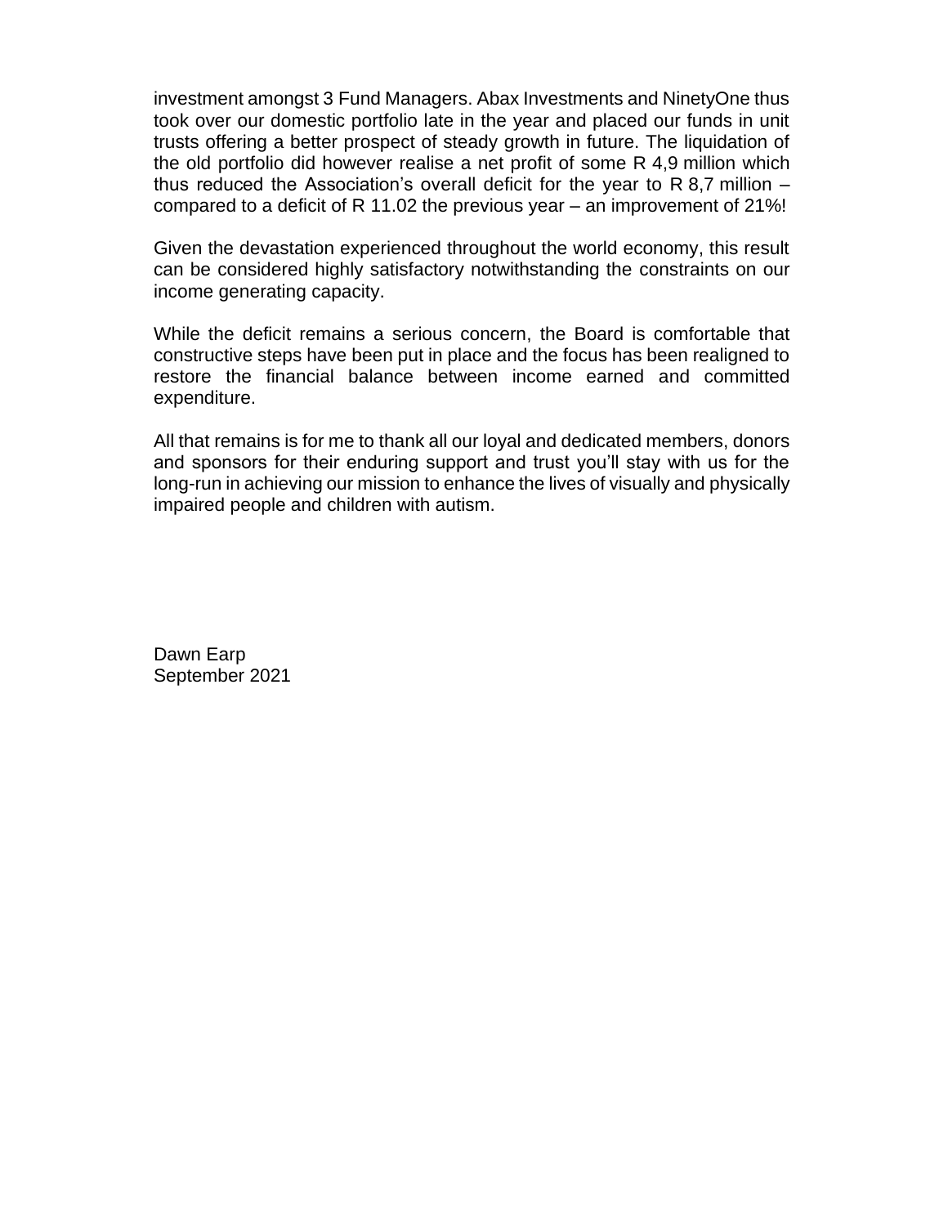investment amongst 3 Fund Managers. Abax Investments and NinetyOne thus took over our domestic portfolio late in the year and placed our funds in unit trusts offering a better prospect of steady growth in future. The liquidation of the old portfolio did however realise a net profit of some R 4,9 million which thus reduced the Association's overall deficit for the year to R 8,7 million – compared to a deficit of R 11.02 the previous year – an improvement of 21%!

Given the devastation experienced throughout the world economy, this result can be considered highly satisfactory notwithstanding the constraints on our income generating capacity.

While the deficit remains a serious concern, the Board is comfortable that constructive steps have been put in place and the focus has been realigned to restore the financial balance between income earned and committed expenditure.

All that remains is for me to thank all our loyal and dedicated members, donors and sponsors for their enduring support and trust you'll stay with us for the long-run in achieving our mission to enhance the lives of visually and physically impaired people and children with autism.

Dawn Earp September 2021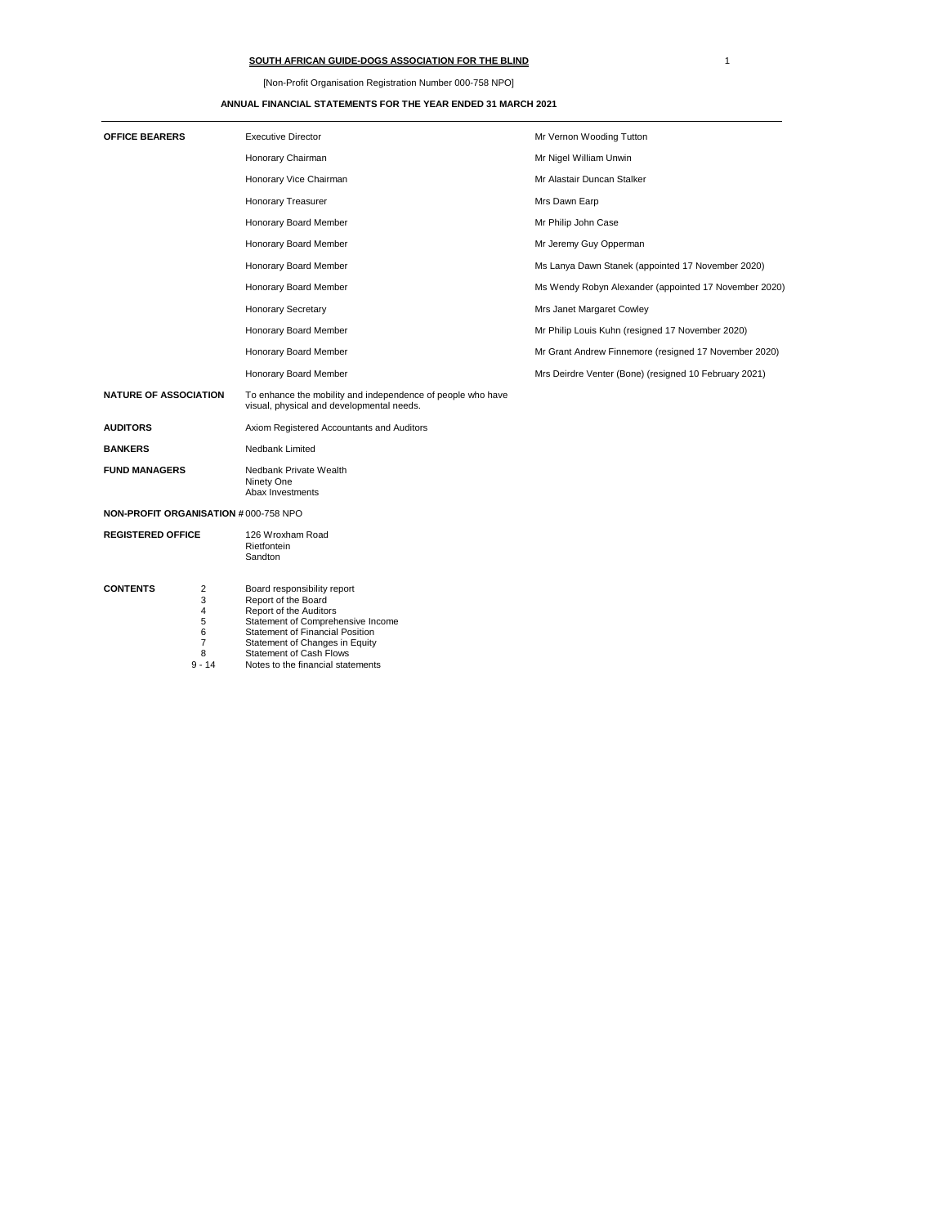## [Non-Profit Organisation Registration Number 000-758 NPO]

### **ANNUAL FINANCIAL STATEMENTS FOR THE YEAR ENDED 31 MARCH 2021**

| <b>OFFICE BEARERS</b>                        |                                             | <b>Executive Director</b>                                                                                                                                                                                                                              | Mr Vernon Wooding Tutton                              |
|----------------------------------------------|---------------------------------------------|--------------------------------------------------------------------------------------------------------------------------------------------------------------------------------------------------------------------------------------------------------|-------------------------------------------------------|
|                                              |                                             | Honorary Chairman                                                                                                                                                                                                                                      | Mr Nigel William Unwin                                |
|                                              |                                             | Honorary Vice Chairman                                                                                                                                                                                                                                 | Mr Alastair Duncan Stalker                            |
|                                              |                                             | Honorary Treasurer                                                                                                                                                                                                                                     | Mrs Dawn Earp                                         |
|                                              |                                             | Honorary Board Member                                                                                                                                                                                                                                  | Mr Philip John Case                                   |
|                                              |                                             | Honorary Board Member                                                                                                                                                                                                                                  | Mr Jeremy Guy Opperman                                |
|                                              |                                             | Honorary Board Member                                                                                                                                                                                                                                  | Ms Lanya Dawn Stanek (appointed 17 November 2020)     |
|                                              |                                             | Honorary Board Member                                                                                                                                                                                                                                  | Ms Wendy Robyn Alexander (appointed 17 November 2020) |
|                                              |                                             | <b>Honorary Secretary</b>                                                                                                                                                                                                                              | Mrs Janet Margaret Cowley                             |
|                                              |                                             | Honorary Board Member                                                                                                                                                                                                                                  | Mr Philip Louis Kuhn (resigned 17 November 2020)      |
|                                              |                                             | Honorary Board Member                                                                                                                                                                                                                                  | Mr Grant Andrew Finnemore (resigned 17 November 2020) |
|                                              |                                             | Honorary Board Member                                                                                                                                                                                                                                  | Mrs Deirdre Venter (Bone) (resigned 10 February 2021) |
| <b>NATURE OF ASSOCIATION</b>                 |                                             | To enhance the mobility and independence of people who have<br>visual, physical and developmental needs.                                                                                                                                               |                                                       |
| <b>AUDITORS</b>                              |                                             | Axiom Registered Accountants and Auditors                                                                                                                                                                                                              |                                                       |
| <b>BANKERS</b>                               |                                             | Nedbank Limited                                                                                                                                                                                                                                        |                                                       |
| <b>FUND MANAGERS</b>                         |                                             | Nedbank Private Wealth<br>Ninety One<br>Abax Investments                                                                                                                                                                                               |                                                       |
| <b>NON-PROFIT ORGANISATION # 000-758 NPO</b> |                                             |                                                                                                                                                                                                                                                        |                                                       |
| <b>REGISTERED OFFICE</b>                     |                                             | 126 Wroxham Road<br>Rietfontein<br>Sandton                                                                                                                                                                                                             |                                                       |
| <b>CONTENTS</b>                              | 2<br>3<br>4<br>5<br>6<br>7<br>8<br>$9 - 14$ | Board responsibility report<br>Report of the Board<br>Report of the Auditors<br>Statement of Comprehensive Income<br>Statement of Financial Position<br>Statement of Changes in Equity<br>Statement of Cash Flows<br>Notes to the financial statements |                                                       |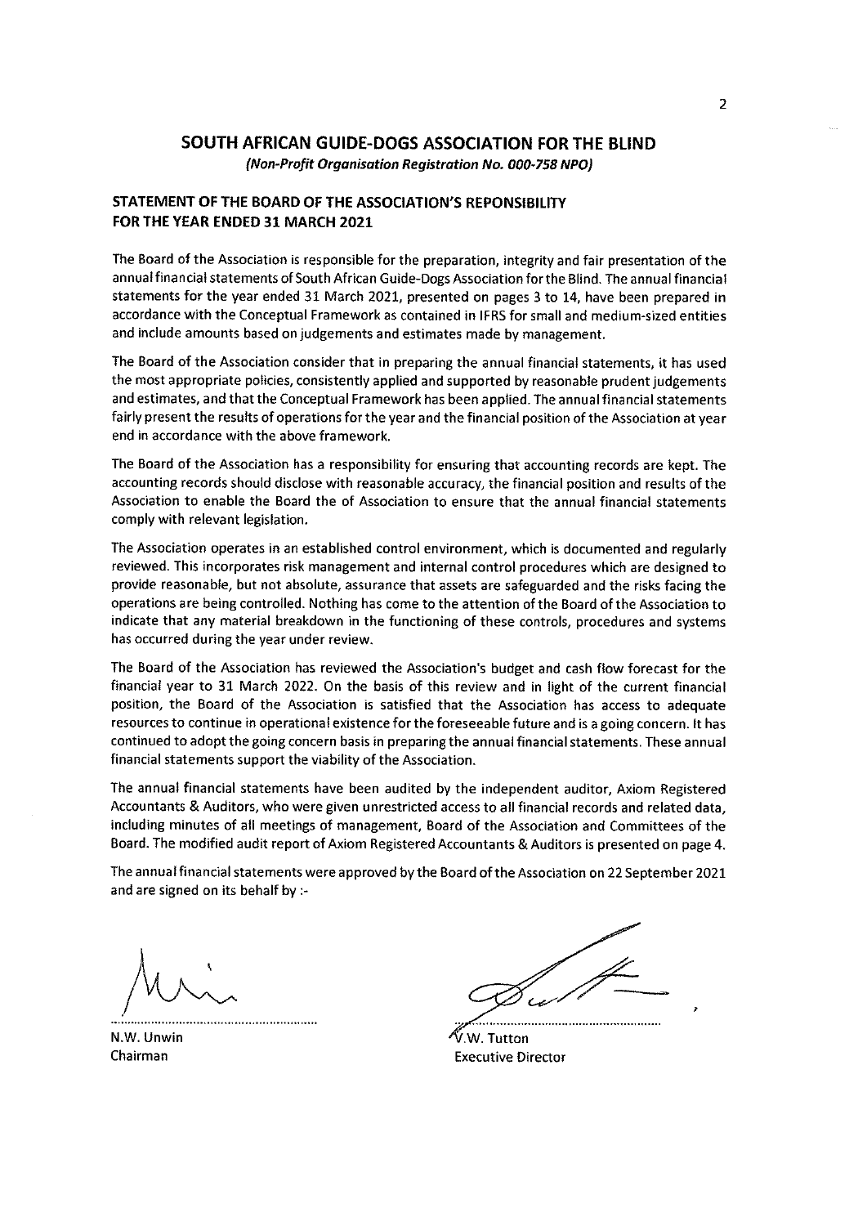# **SOUTH AFRICAN GUIDE-DOGS ASSOCIATION FOR THE BLIND** (Non-Profit Organisation Registration No. 000-758 NPO)

# STATEMENT OF THE BOARD OF THE ASSOCIATION'S REPONSIBILITY FOR THE YEAR ENDED 31 MARCH 2021

The Board of the Association is responsible for the preparation, integrity and fair presentation of the annual financial statements of South African Guide-Dogs Association for the Blind. The annual financial statements for the year ended 31 March 2021, presented on pages 3 to 14, have been prepared in accordance with the Conceptual Framework as contained in IFRS for small and medium-sized entities and include amounts based on judgements and estimates made by management.

The Board of the Association consider that in preparing the annual financial statements, it has used the most appropriate policies, consistently applied and supported by reasonable prudent judgements and estimates, and that the Conceptual Framework has been applied. The annual financial statements fairly present the results of operations for the year and the financial position of the Association at year end in accordance with the above framework.

The Board of the Association has a responsibility for ensuring that accounting records are kept. The accounting records should disclose with reasonable accuracy, the financial position and results of the Association to enable the Board the of Association to ensure that the annual financial statements comply with relevant legislation.

The Association operates in an established control environment, which is documented and regularly reviewed. This incorporates risk management and internal control procedures which are designed to provide reasonable, but not absolute, assurance that assets are safeguarded and the risks facing the operations are being controlled. Nothing has come to the attention of the Board of the Association to indicate that any material breakdown in the functioning of these controls, procedures and systems has occurred during the year under review.

The Board of the Association has reviewed the Association's budget and cash flow forecast for the financial year to 31 March 2022. On the basis of this review and in light of the current financial position, the Board of the Association is satisfied that the Association has access to adequate resources to continue in operational existence for the foreseeable future and is a going concern. It has continued to adopt the going concern basis in preparing the annual financial statements. These annual financial statements support the viability of the Association.

The annual financial statements have been audited by the independent auditor, Axiom Registered Accountants & Auditors, who were given unrestricted access to all financial records and related data, including minutes of all meetings of management, Board of the Association and Committees of the Board. The modified audit report of Axiom Registered Accountants & Auditors is presented on page 4.

The annual financial statements were approved by the Board of the Association on 22 September 2021 and are signed on its behalf by :-

N.W. Unwin Chairman

.W. Tutton **Executive Director**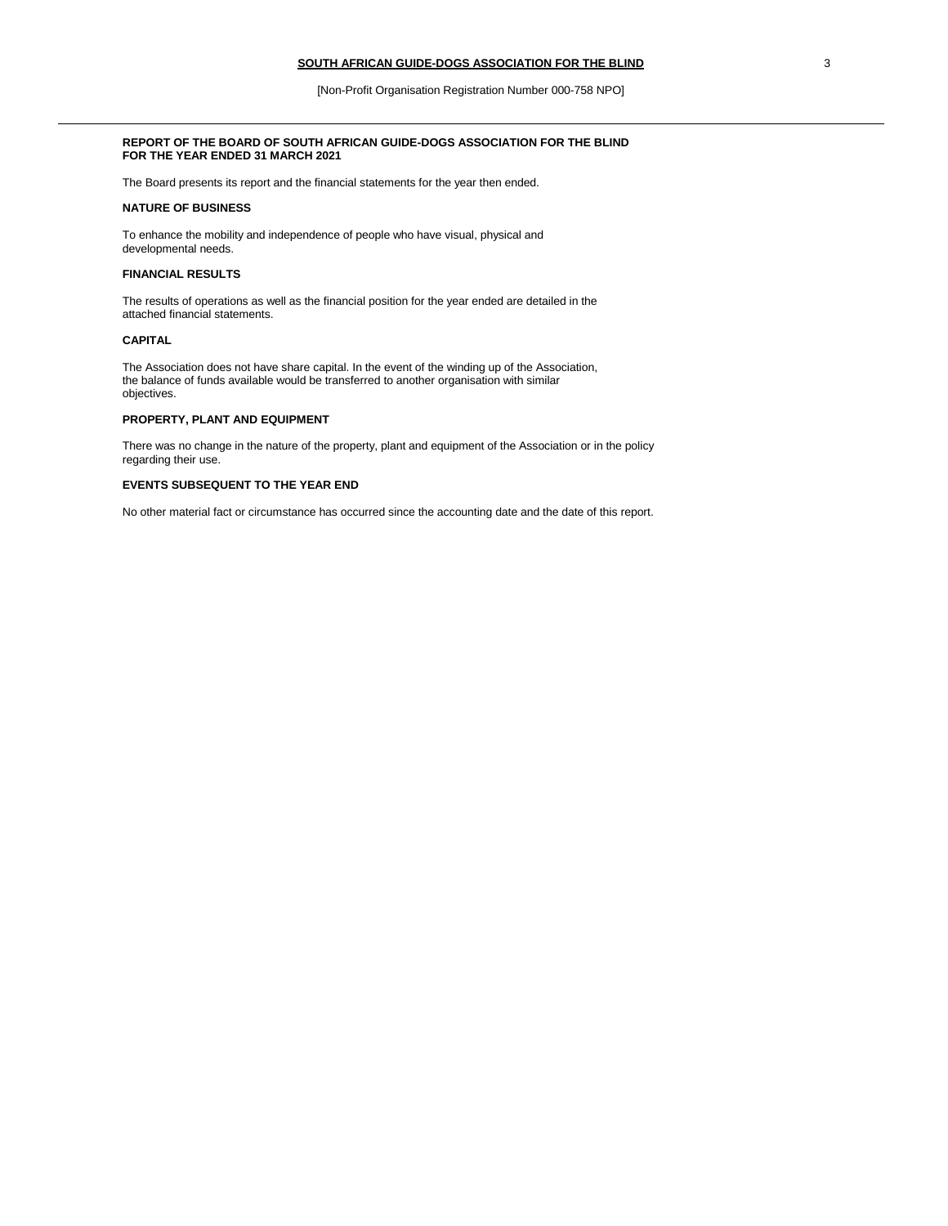#### **REPORT OF THE BOARD OF SOUTH AFRICAN GUIDE-DOGS ASSOCIATION FOR THE BLIND FOR THE YEAR ENDED 31 MARCH 2021**

The Board presents its report and the financial statements for the year then ended.

#### **NATURE OF BUSINESS**

To enhance the mobility and independence of people who have visual, physical and developmental needs.

### **FINANCIAL RESULTS**

The results of operations as well as the financial position for the year ended are detailed in the attached financial statements.

### **CAPITAL**

The Association does not have share capital. In the event of the winding up of the Association, the balance of funds available would be transferred to another organisation with similar objectives.

## **PROPERTY, PLANT AND EQUIPMENT**

There was no change in the nature of the property, plant and equipment of the Association or in the policy regarding their use.

### **EVENTS SUBSEQUENT TO THE YEAR END**

No other material fact or circumstance has occurred since the accounting date and the date of this report.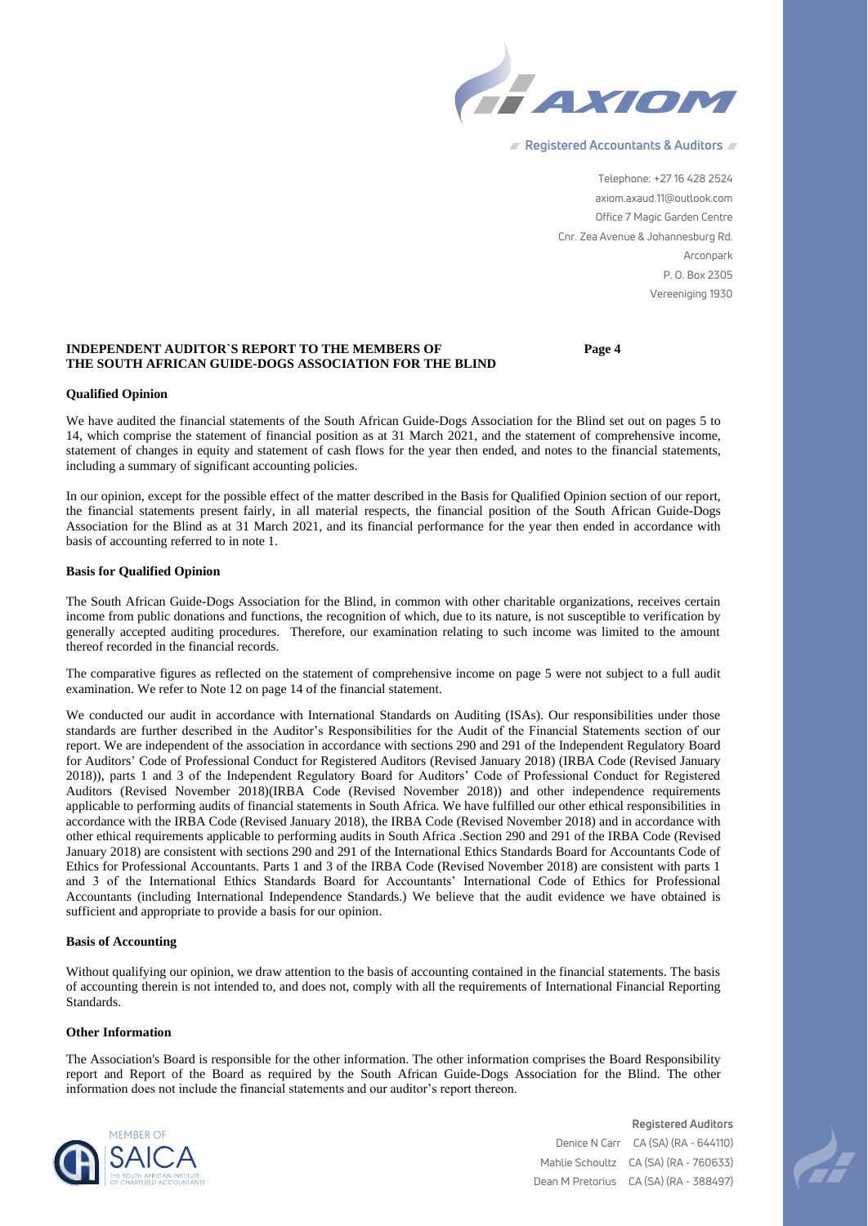

**Registered Accountants & Auditors**

Telephone: +27 16 428 2524 axiom.axaud.11@outlook.com Office 7 Magic Garden Centre Cnr. Zea Avenue & Johannesburg Rd. Arconpark P. O. Box 2305 Vereeniging 1930

# **INDEPENDENT AUDITOR`S REPORT TO THE MEMBERS OF Page 4 THE SOUTH AFRICAN GUIDE-DOGS ASSOCIATION FOR THE BLIND**

# **Qualified Opinion**

We have audited the financial statements of the South African Guide-Dogs Association for the Blind set out on pages 5 to 14, which comprise the statement of financial position as at 31 March 2021, and the statement of comprehensive income, statement of changes in equity and statement of cash flows for the year then ended, and notes to the financial statements, including a summary of significant accounting policies.

In our opinion, except for the possible effect of the matter described in the Basis for Qualified Opinion section of our report, the financial statements present fairly, in all material respects, the financial position of the South African Guide-Dogs Association for the Blind as at 31 March 2021, and its financial performance for the year then ended in accordance with basis of accounting referred to in note 1.

### **Basis for Qualified Opinion**

The South African Guide-Dogs Association for the Blind, in common with other charitable organizations, receives certain income from public donations and functions, the recognition of which, due to its nature, is not susceptible to verification by generally accepted auditing procedures. Therefore, our examination relating to such income was limited to the amount thereof recorded in the financial records.

The comparative figures as reflected on the statement of comprehensive income on page 5 were not subject to a full audit examination. We refer to Note 12 on page 14 of the financial statement.

We conducted our audit in accordance with International Standards on Auditing (ISAs). Our responsibilities under those standards are further described in the Auditor's Responsibilities for the Audit of the Financial Statements section of our report. We are independent of the association in accordance with sections 290 and 291 of the Independent Regulatory Board for Auditors' Code of Professional Conduct for Registered Auditors (Revised January 2018) (IRBA Code (Revised January 2018)), parts 1 and 3 of the Independent Regulatory Board for Auditors' Code of Professional Conduct for Registered Auditors (Revised November 2018)(IRBA Code (Revised November 2018)) and other independence requirements applicable to performing audits of financial statements in South Africa. We have fulfilled our other ethical responsibilities in accordance with the IRBA Code (Revised January 2018), the IRBA Code (Revised November 2018) and in accordance with other ethical requirements applicable to performing audits in South Africa .Section 290 and 291 of the IRBA Code (Revised January 2018) are consistent with sections 290 and 291 of the International Ethics Standards Board for Accountants Code of Ethics for Professional Accountants. Parts 1 and 3 of the IRBA Code (Revised November 2018) are consistent with parts 1 and 3 of the International Ethics Standards Board for Accountants' International Code of Ethics for Professional Accountants (including International Independence Standards.) We believe that the audit evidence we have obtained is sufficient and appropriate to provide a basis for our opinion.

### **Basis of Accounting**

Without qualifying our opinion, we draw attention to the basis of accounting contained in the financial statements. The basis of accounting therein is not intended to, and does not, comply with all the requirements of International Financial Reporting Standards.

# **Other Information**

The Association's Board is responsible for the other information. The other information comprises the Board Responsibility report and Report of the Board as required by the South African Guide-Dogs Association for the Blind. The other information does not include the financial statements and our auditor's report thereon.



**Registered Auditors** Denice N Carr CA (SA) (RA - 644110) Mahlie Schoultz CA (SA) (RA - 760633) Dean M Pretorius CA (SA) (RA - 388497)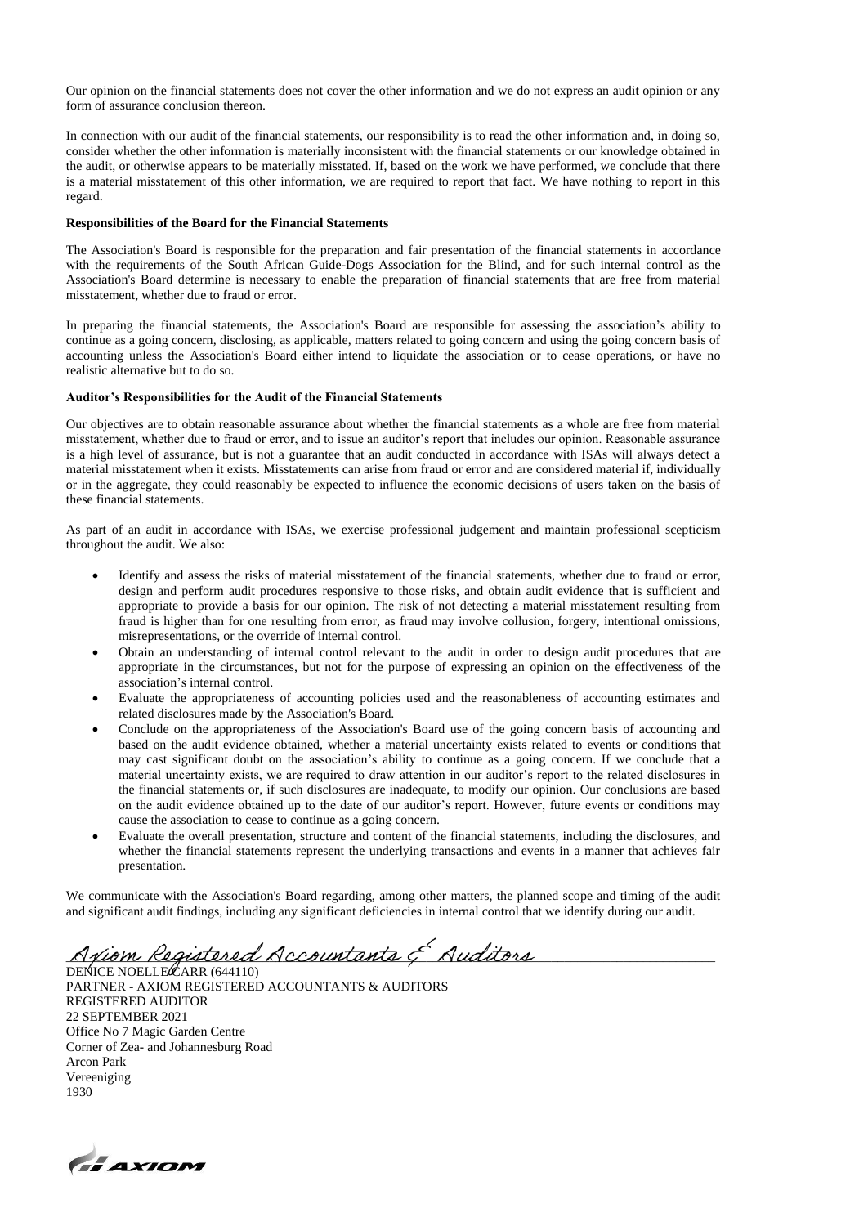Our opinion on the financial statements does not cover the other information and we do not express an audit opinion or any form of assurance conclusion thereon.

In connection with our audit of the financial statements, our responsibility is to read the other information and, in doing so, consider whether the other information is materially inconsistent with the financial statements or our knowledge obtained in the audit, or otherwise appears to be materially misstated. If, based on the work we have performed, we conclude that there is a material misstatement of this other information, we are required to report that fact. We have nothing to report in this regard.

### **Responsibilities of the Board for the Financial Statements**

The Association's Board is responsible for the preparation and fair presentation of the financial statements in accordance with the requirements of the South African Guide-Dogs Association for the Blind, and for such internal control as the Association's Board determine is necessary to enable the preparation of financial statements that are free from material misstatement, whether due to fraud or error.

In preparing the financial statements, the Association's Board are responsible for assessing the association's ability to continue as a going concern, disclosing, as applicable, matters related to going concern and using the going concern basis of accounting unless the Association's Board either intend to liquidate the association or to cease operations, or have no realistic alternative but to do so.

### **Auditor's Responsibilities for the Audit of the Financial Statements**

Our objectives are to obtain reasonable assurance about whether the financial statements as a whole are free from material misstatement, whether due to fraud or error, and to issue an auditor's report that includes our opinion. Reasonable assurance is a high level of assurance, but is not a guarantee that an audit conducted in accordance with ISAs will always detect a material misstatement when it exists. Misstatements can arise from fraud or error and are considered material if, individually or in the aggregate, they could reasonably be expected to influence the economic decisions of users taken on the basis of these financial statements.

As part of an audit in accordance with ISAs, we exercise professional judgement and maintain professional scepticism throughout the audit. We also:

- Identify and assess the risks of material misstatement of the financial statements, whether due to fraud or error, design and perform audit procedures responsive to those risks, and obtain audit evidence that is sufficient and appropriate to provide a basis for our opinion. The risk of not detecting a material misstatement resulting from fraud is higher than for one resulting from error, as fraud may involve collusion, forgery, intentional omissions, misrepresentations, or the override of internal control.
- Obtain an understanding of internal control relevant to the audit in order to design audit procedures that are appropriate in the circumstances, but not for the purpose of expressing an opinion on the effectiveness of the association's internal control.
- Evaluate the appropriateness of accounting policies used and the reasonableness of accounting estimates and related disclosures made by the Association's Board.
- Conclude on the appropriateness of the Association's Board use of the going concern basis of accounting and based on the audit evidence obtained, whether a material uncertainty exists related to events or conditions that may cast significant doubt on the association's ability to continue as a going concern. If we conclude that a material uncertainty exists, we are required to draw attention in our auditor's report to the related disclosures in the financial statements or, if such disclosures are inadequate, to modify our opinion. Our conclusions are based on the audit evidence obtained up to the date of our auditor's report. However, future events or conditions may cause the association to cease to continue as a going concern.
- Evaluate the overall presentation, structure and content of the financial statements, including the disclosures, and whether the financial statements represent the underlying transactions and events in a manner that achieves fair presentation.

We communicate with the Association's Board regarding, among other matters, the planned scope and timing of the audit and significant audit findings, including any significant deficiencies in internal control that we identify during our audit.

Axiom Registered Accountants & Auditors

DENICE NOELLE CARR (644110) PARTNER - AXIOM REGISTERED ACCOUNTANTS & AUDITORS REGISTERED AUDITOR 22 SEPTEMBER 2021 Office No 7 Magic Garden Centre Corner of Zea- and Johannesburg Road Arcon Park Vereeniging 1930

GLAXIOM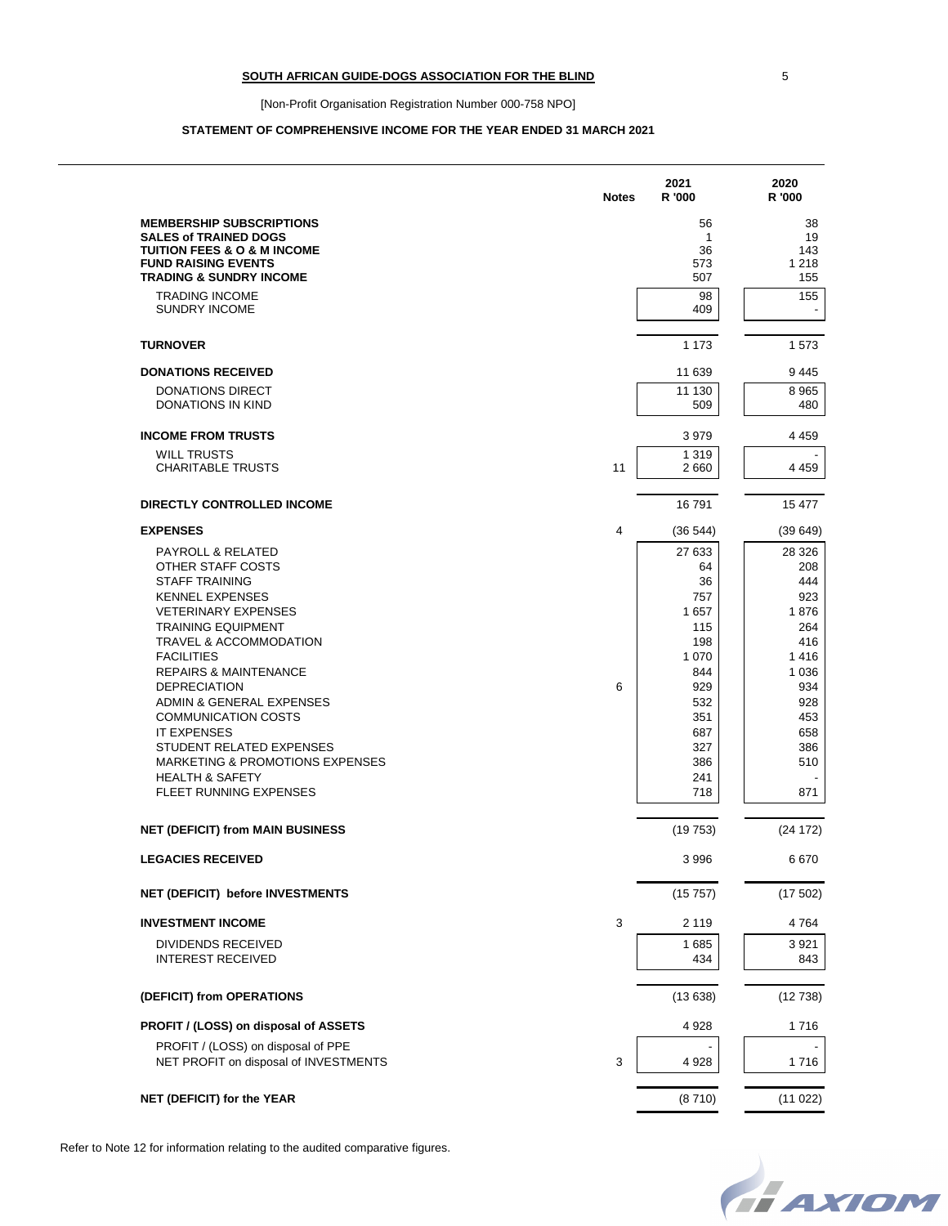# **STATEMENT OF COMPREHENSIVE INCOME FOR THE YEAR ENDED 31 MARCH 2021**

|                                            | <b>Notes</b> | 2021<br>R '000 | 2020<br>R '000 |
|--------------------------------------------|--------------|----------------|----------------|
| <b>MEMBERSHIP SUBSCRIPTIONS</b>            |              | 56             | 38             |
| <b>SALES of TRAINED DOGS</b>               |              | 1              | 19             |
| <b>TUITION FEES &amp; O &amp; M INCOME</b> |              | 36             | 143            |
| <b>FUND RAISING EVENTS</b>                 |              | 573            | 1 2 1 8        |
| <b>TRADING &amp; SUNDRY INCOME</b>         |              | 507            | 155            |
| <b>TRADING INCOME</b>                      |              | 98             | 155            |
| <b>SUNDRY INCOME</b>                       |              | 409            | $\blacksquare$ |
| <b>TURNOVER</b>                            |              | 1 1 7 3        | 1573           |
| <b>DONATIONS RECEIVED</b>                  |              | 11 639         | 9 4 4 5        |
| DONATIONS DIRECT                           |              | 11 130         | 8965           |
| DONATIONS IN KIND                          |              | 509            | 480            |
| <b>INCOME FROM TRUSTS</b>                  |              | 3979           | 4 4 5 9        |
| <b>WILL TRUSTS</b>                         |              | 1 3 1 9        |                |
| <b>CHARITABLE TRUSTS</b>                   | 11           | 2660           | 4 4 5 9        |
| DIRECTLY CONTROLLED INCOME                 |              | 16791          | 15 477         |
| <b>EXPENSES</b>                            | 4            | (36544)        | (39649)        |
| <b>PAYROLL &amp; RELATED</b>               |              | 27 633         | 28 3 26        |
| OTHER STAFF COSTS                          |              | 64             | 208            |
| <b>STAFF TRAINING</b>                      |              | 36             | 444            |
| <b>KENNEL EXPENSES</b>                     |              | 757            | 923            |
| <b>VETERINARY EXPENSES</b>                 |              | 1657           | 1876           |
| <b>TRAINING EQUIPMENT</b>                  |              | 115            | 264            |
| <b>TRAVEL &amp; ACCOMMODATION</b>          |              | 198            | 416            |
| <b>FACILITIES</b>                          |              | 1 0 7 0        | 1416           |
| <b>REPAIRS &amp; MAINTENANCE</b>           |              | 844            | 1 0 3 6        |
| <b>DEPRECIATION</b>                        | 6            | 929            | 934            |
| ADMIN & GENERAL EXPENSES                   |              | 532            | 928            |
| <b>COMMUNICATION COSTS</b>                 |              | 351            | 453            |
| <b>IT EXPENSES</b>                         |              | 687            | 658            |
| <b>STUDENT RELATED EXPENSES</b>            |              | 327            | 386            |
| <b>MARKETING &amp; PROMOTIONS EXPENSES</b> |              | 386            | 510            |
| <b>HEALTH &amp; SAFETY</b>                 |              | 241            |                |
| <b>FLEET RUNNING EXPENSES</b>              |              | 718            | 871            |
| <b>NET (DEFICIT) from MAIN BUSINESS</b>    |              | (19753)        | (24 172)       |
| <b>LEGACIES RECEIVED</b>                   |              | 3996           | 6670           |
| NET (DEFICIT) before INVESTMENTS           |              | (15757)        | (17502)        |
| <b>INVESTMENT INCOME</b>                   | 3            | 2 1 1 9        | 4764           |
| <b>DIVIDENDS RECEIVED</b>                  |              | 1685           | 3 9 21         |
| <b>INTEREST RECEIVED</b>                   |              | 434            | 843            |
| (DEFICIT) from OPERATIONS                  |              | (13638)        | (12738)        |
| PROFIT / (LOSS) on disposal of ASSETS      |              | 4 9 28         | 1716           |
| PROFIT / (LOSS) on disposal of PPE         |              |                |                |
| NET PROFIT on disposal of INVESTMENTS      | 3            | 4928           | 1716           |
| NET (DEFICIT) for the YEAR                 |              | (8710)         | (11022)        |

HAXIOM

Refer to Note 12 for information relating to the audited comparative figures.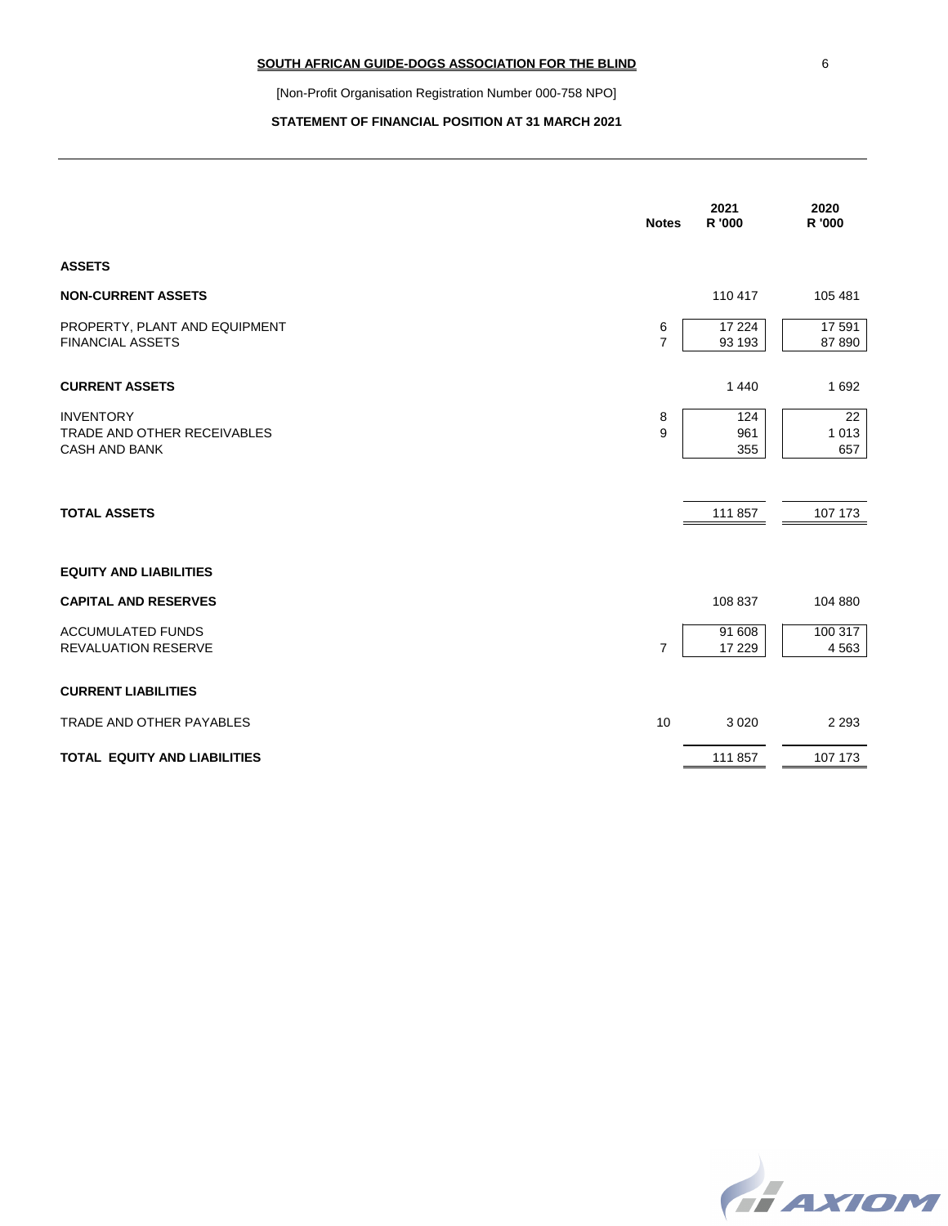# **STATEMENT OF FINANCIAL POSITION AT 31 MARCH 2021**

|                                                                  | <b>Notes</b>        | 2021<br>R '000    | 2020<br>R '000       |
|------------------------------------------------------------------|---------------------|-------------------|----------------------|
| <b>ASSETS</b>                                                    |                     |                   |                      |
| <b>NON-CURRENT ASSETS</b>                                        |                     | 110 417           | 105 481              |
| PROPERTY, PLANT AND EQUIPMENT<br><b>FINANCIAL ASSETS</b>         | 6<br>$\overline{7}$ | 17 224<br>93 193  | 17 591<br>87 890     |
| <b>CURRENT ASSETS</b>                                            |                     | 1 4 4 0           | 1692                 |
| <b>INVENTORY</b><br>TRADE AND OTHER RECEIVABLES<br>CASH AND BANK | 8<br>9              | 124<br>961<br>355 | 22<br>1 0 1 3<br>657 |
| <b>TOTAL ASSETS</b>                                              |                     | 111 857           | 107 173              |
| <b>EQUITY AND LIABILITIES</b>                                    |                     |                   |                      |
| <b>CAPITAL AND RESERVES</b>                                      |                     | 108 837           | 104 880              |
| <b>ACCUMULATED FUNDS</b><br>REVALUATION RESERVE                  | $\overline{7}$      | 91 608<br>17 229  | 100 317<br>4 5 6 3   |
| <b>CURRENT LIABILITIES</b>                                       |                     |                   |                      |
| TRADE AND OTHER PAYABLES                                         | 10                  | 3 0 2 0           | 2 2 9 3              |
| <b>TOTAL EQUITY AND LIABILITIES</b>                              |                     | 111 857           | 107 173              |

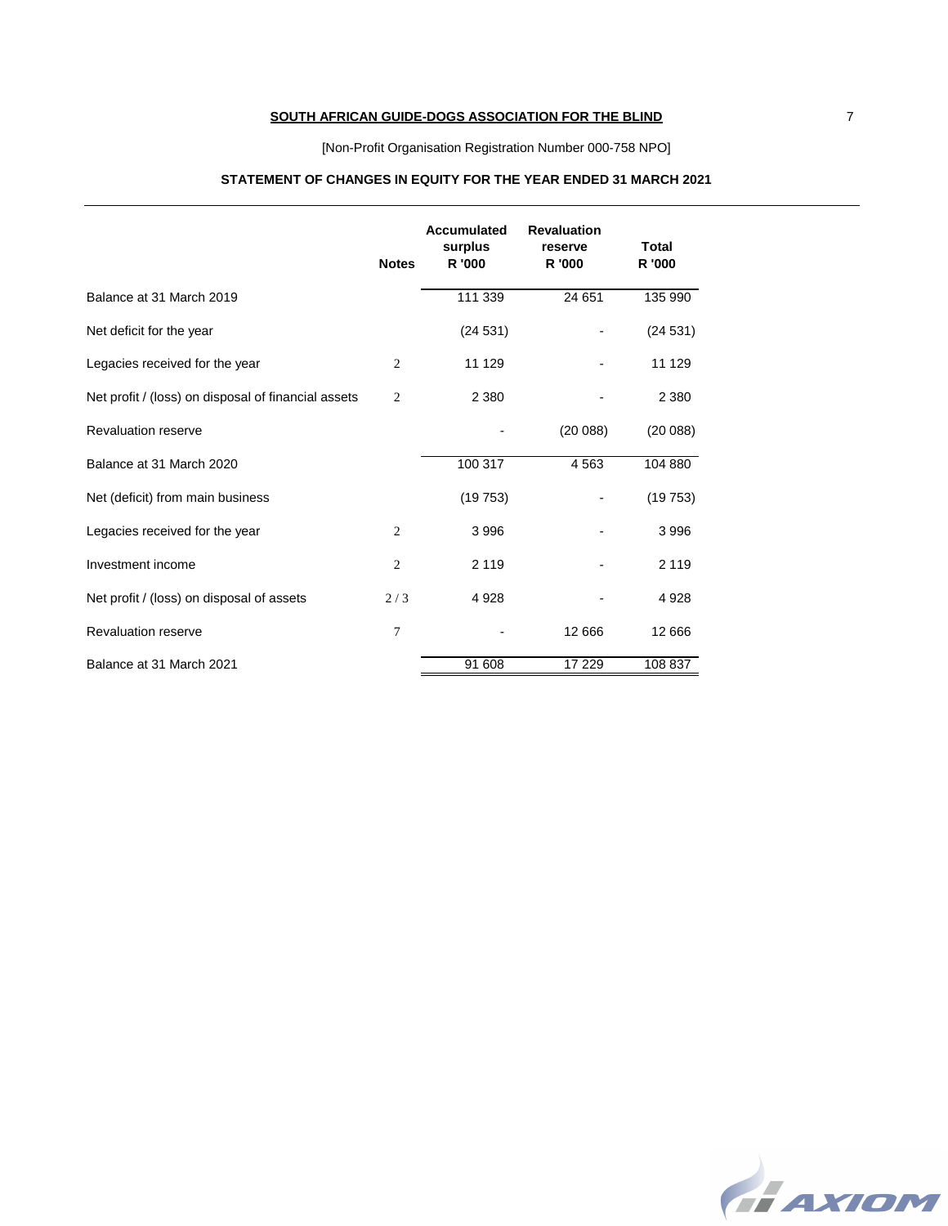[Non-Profit Organisation Registration Number 000-758 NPO]

# **STATEMENT OF CHANGES IN EQUITY FOR THE YEAR ENDED 31 MARCH 2021**

|                                                     | <b>Notes</b>   | Accumulated<br>surplus<br>R '000 | <b>Revaluation</b><br>reserve<br>R '000 | Total<br>R '000 |
|-----------------------------------------------------|----------------|----------------------------------|-----------------------------------------|-----------------|
| Balance at 31 March 2019                            |                | 111 339                          | 24 651                                  | 135 990         |
| Net deficit for the year                            |                | (24531)                          |                                         | (24531)         |
| Legacies received for the year                      | 2              | 11 129                           |                                         | 11 129          |
| Net profit / (loss) on disposal of financial assets | 2              | 2 3 8 0                          |                                         | 2 3 8 0         |
| Revaluation reserve                                 |                |                                  | (20088)                                 | (20088)         |
| Balance at 31 March 2020                            |                | 100 317                          | 4563                                    | 104 880         |
| Net (deficit) from main business                    |                | (19753)                          |                                         | (19753)         |
| Legacies received for the year                      | 2              | 3996                             |                                         | 3996            |
| Investment income                                   | $\overline{2}$ | 2 1 1 9                          |                                         | 2 1 1 9         |
| Net profit / (loss) on disposal of assets           | 2/3            | 4928                             |                                         | 4 9 28          |
| <b>Revaluation reserve</b>                          | 7              |                                  | 12 666                                  | 12 6 66         |
| Balance at 31 March 2021                            |                | 91 608                           | 17 229                                  | 108 837         |

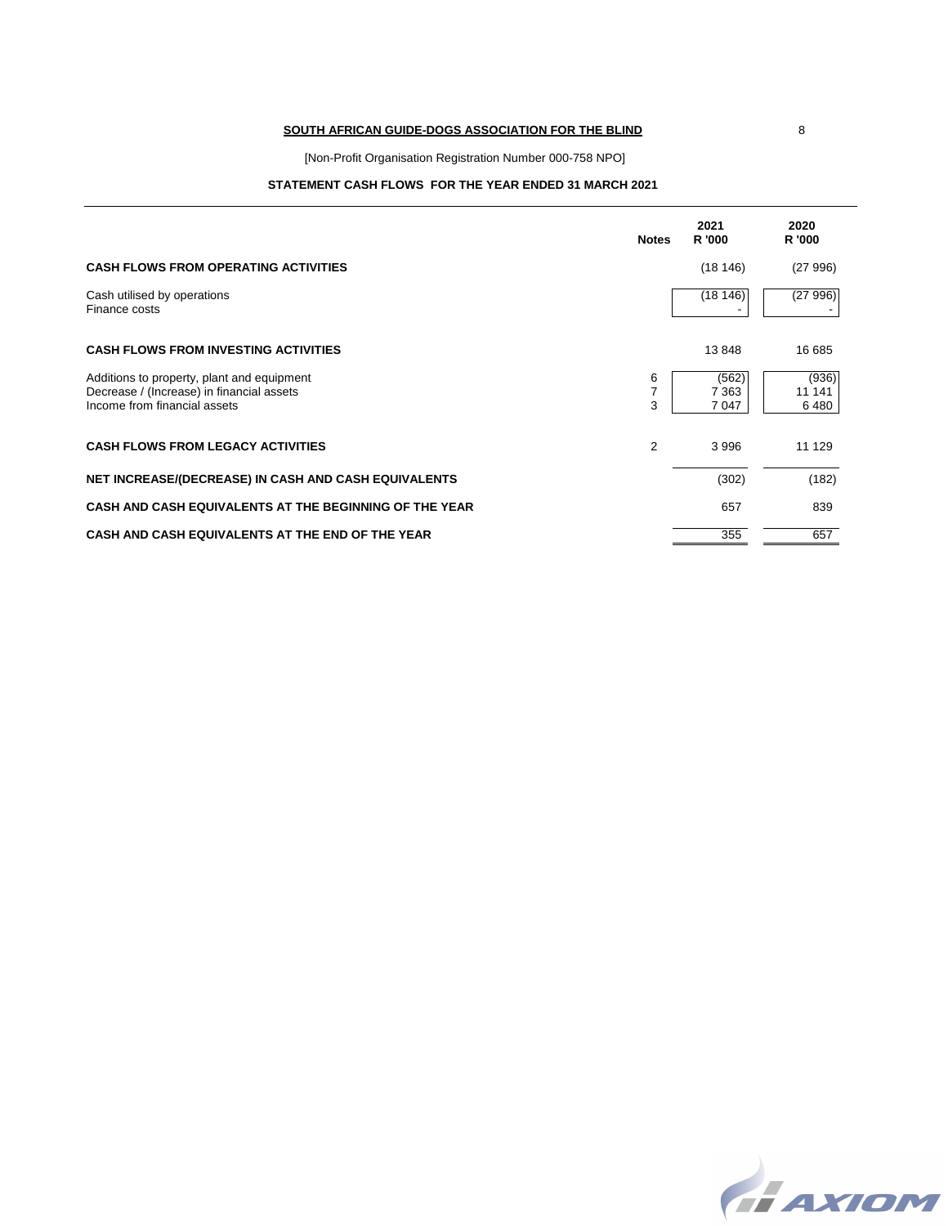[Non-Profit Organisation Registration Number 000-758 NPO]

## **STATEMENT CASH FLOWS FOR THE YEAR ENDED 31 MARCH 2021**

|                                                                                                                         | <b>Notes</b> | 2021<br>R '000           | 2020<br>R '000          |
|-------------------------------------------------------------------------------------------------------------------------|--------------|--------------------------|-------------------------|
| <b>CASH FLOWS FROM OPERATING ACTIVITIES</b>                                                                             |              | (18146)                  | (27996)                 |
| Cash utilised by operations<br>Finance costs                                                                            |              | (18146)                  | (27996)                 |
| <b>CASH FLOWS FROM INVESTING ACTIVITIES</b>                                                                             |              | 13848                    | 16 685                  |
| Additions to property, plant and equipment<br>Decrease / (Increase) in financial assets<br>Income from financial assets | 6<br>7<br>3  | (562)<br>7 3 6 3<br>7047 | (936)<br>11 141<br>6480 |
| <b>CASH FLOWS FROM LEGACY ACTIVITIES</b>                                                                                | 2            | 3996                     | 11 129                  |
| NET INCREASE/(DECREASE) IN CASH AND CASH EQUIVALENTS                                                                    |              | (302)                    | (182)                   |
| CASH AND CASH EQUIVALENTS AT THE BEGINNING OF THE YEAR                                                                  |              | 657                      | 839                     |
| CASH AND CASH EQUIVALENTS AT THE END OF THE YEAR                                                                        |              | 355                      | 657                     |

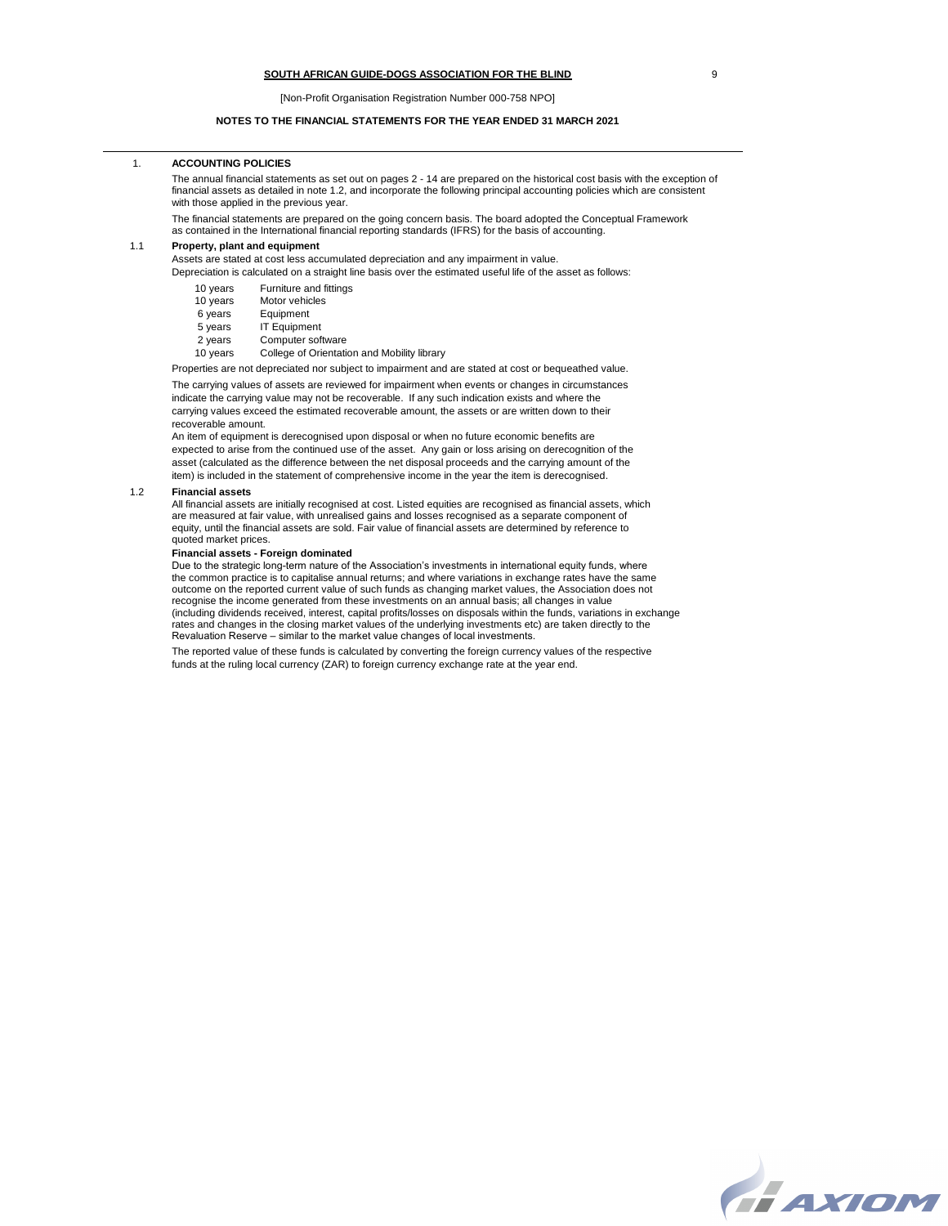#### **NOTES TO THE FINANCIAL STATEMENTS FOR THE YEAR ENDED 31 MARCH 2021**

#### 1. **ACCOUNTING POLICIES**

The annual financial statements as set out on pages 2 - 14 are prepared on the historical cost basis with the exception of financial assets as detailed in note 1.2, and incorporate the following principal accounting policies which are consistent with those applied in the previous year.

The financial statements are prepared on the going concern basis. The board adopted the Conceptual Framework as contained in the International financial reporting standards (IFRS) for the basis of accounting.

### 1.1 **Property, plant and equipment**

Assets are stated at cost less accumulated depreciation and any impairment in value. Depreciation is calculated on a straight line basis over the estimated useful life of the asset as follows:

| 10 years | Furniture and fittings |
|----------|------------------------|
| 10 years | Motor vehicles         |
| 6 years  | Equipment              |
| 5 years  | <b>IT Equipment</b>    |
| 2 years  | Computer software      |
|          |                        |

10 years College of Orientation and Mobility library

Properties are not depreciated nor subject to impairment and are stated at cost or bequeathed value.

The carrying values of assets are reviewed for impairment when events or changes in circumstances indicate the carrying value may not be recoverable. If any such indication exists and where the carrying values exceed the estimated recoverable amount, the assets or are written down to their recoverable amount.

An item of equipment is derecognised upon disposal or when no future economic benefits are expected to arise from the continued use of the asset. Any gain or loss arising on derecognition of the asset (calculated as the difference between the net disposal proceeds and the carrying amount of the item) is included in the statement of comprehensive income in the year the item is derecognised.

### 1.2 **Financial assets**

All financial assets are initially recognised at cost. Listed equities are recognised as financial assets, which are measured at fair value, with unrealised gains and losses recognised as a separate component of equity, until the financial assets are sold. Fair value of financial assets are determined by reference to quoted market prices.

#### **Financial assets - Foreign dominated**

Due to the strategic long-term nature of the Association's investments in international equity funds, where the common practice is to capitalise annual returns; and where variations in exchange rates have the same outcome on the reported current value of such funds as changing market values, the Association does not recognise the income generated from these investments on an annual basis; all changes in value (including dividends received, interest, capital profits/losses on disposals within the funds, variations in exchange rates and changes in the closing market values of the underlying investments etc) are taken directly to the Revaluation Reserve – similar to the market value changes of local investments.

The reported value of these funds is calculated by converting the foreign currency values of the respective funds at the ruling local currency (ZAR) to foreign currency exchange rate at the year end.

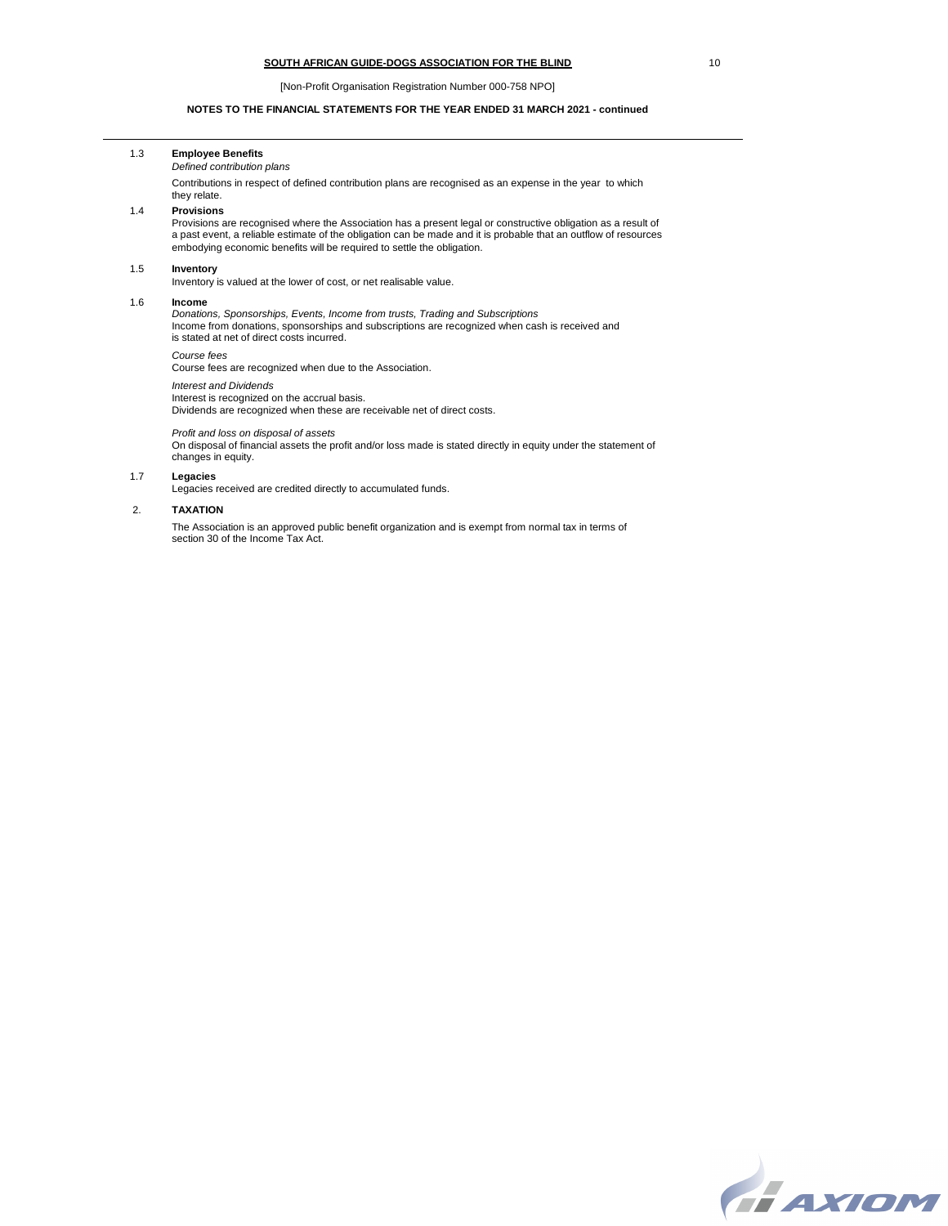#### [Non-Profit Organisation Registration Number 000-758 NPO]

### **NOTES TO THE FINANCIAL STATEMENTS FOR THE YEAR ENDED 31 MARCH 2021 - continued**

### 1.3 **Employee Benefits**

#### *Defined contribution plans*

Contributions in respect of defined contribution plans are recognised as an expense in the year to which they relate.

#### 1.4 **Provisions**

Provisions are recognised where the Association has a present legal or constructive obligation as a result of a past event, a reliable estimate of the obligation can be made and it is probable that an outflow of resources embodying economic benefits will be required to settle the obligation.

#### 1.5 **Inventory**

Inventory is valued at the lower of cost, or net realisable value.

#### 1.6 **Income**

*Donations, Sponsorships, Events, Income from trusts, Trading and Subscriptions* Income from donations, sponsorships and subscriptions are recognized when cash is received and is stated at net of direct costs incurred.

#### *Course fees*

Course fees are recognized when due to the Association.

*Interest and Dividends* Interest is recognized on the accrual basis. Dividends are recognized when these are receivable net of direct costs.

*Profit and loss on disposal of assets* On disposal of financial assets the profit and/or loss made is stated directly in equity under the statement of changes in equity.

#### 1.7 **Legacies**

Legacies received are credited directly to accumulated funds.

#### 2. **TAXATION**

The Association is an approved public benefit organization and is exempt from normal tax in terms of section 30 of the Income Tax Act.

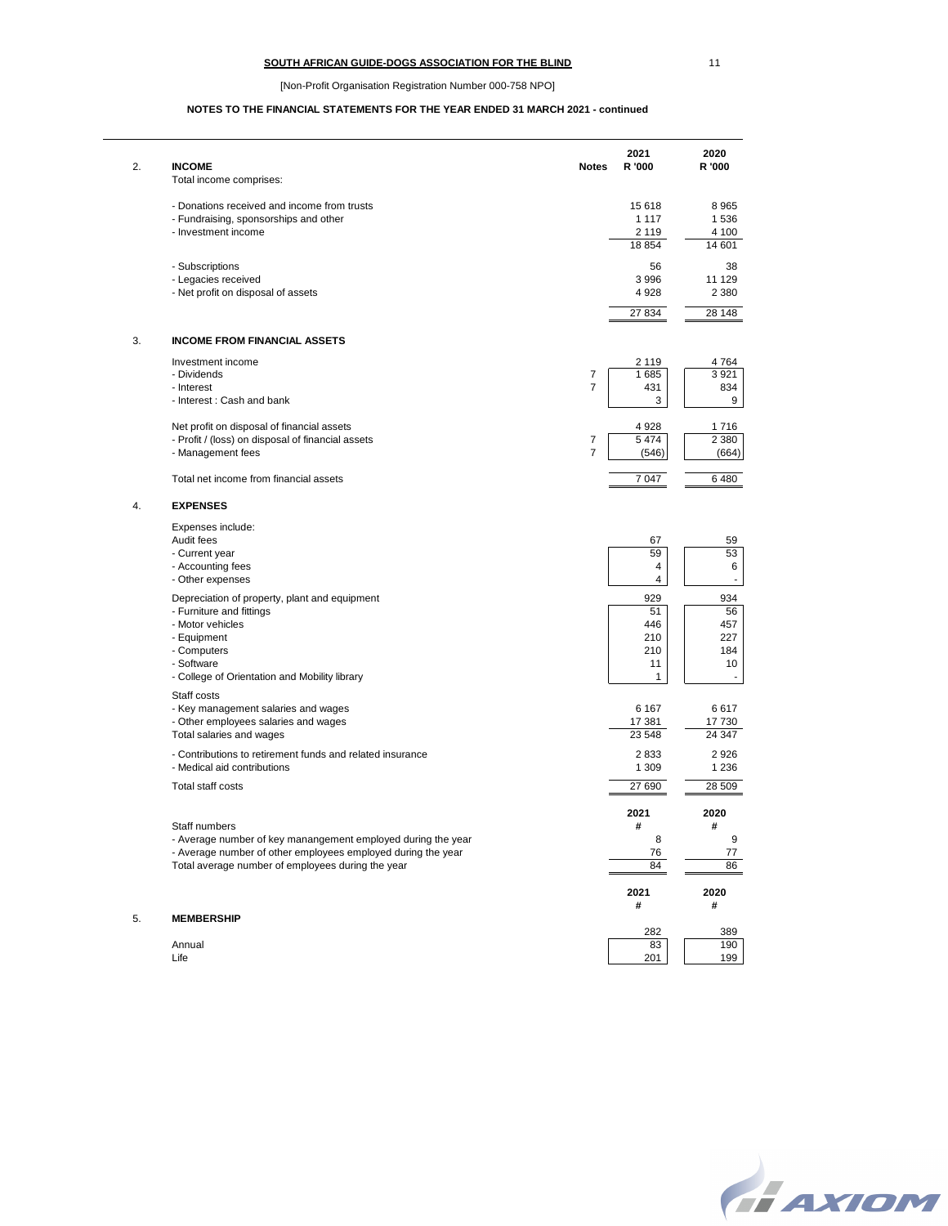## **NOTES TO THE FINANCIAL STATEMENTS FOR THE YEAR ENDED 31 MARCH 2021 - continued**

| 2. | <b>INCOME</b><br>Total income comprises:                                                        | <b>Notes</b> | 2021<br>R '000   | 2020<br>R '000                |
|----|-------------------------------------------------------------------------------------------------|--------------|------------------|-------------------------------|
|    | - Donations received and income from trusts<br>- Fundraising, sponsorships and other            |              | 15618<br>1 1 1 7 | 8965<br>1536                  |
|    | - Investment income                                                                             |              | 2 1 1 9<br>18854 | 4 100<br>14 601               |
|    | - Subscriptions<br>- Legacies received                                                          |              | 56<br>3996       | 38<br>11 129                  |
|    | - Net profit on disposal of assets                                                              |              | 4928             | 2 3 8 0                       |
|    |                                                                                                 |              | 27 834           | 28 148                        |
| 3. | <b>INCOME FROM FINANCIAL ASSETS</b>                                                             |              |                  |                               |
|    | Investment income<br>- Dividends                                                                | 7            | 2 1 1 9<br>1685  | 4764<br>3921                  |
|    | - Interest                                                                                      | 7            | 431              | 834                           |
|    | - Interest: Cash and bank                                                                       |              | 3                | 9                             |
|    | Net profit on disposal of financial assets<br>- Profit / (loss) on disposal of financial assets | 7            | 4928<br>5474     | 1716<br>2 3 8 0               |
|    | - Management fees                                                                               | 7            | (546)            | (664)                         |
|    | Total net income from financial assets                                                          |              | 7047             | 6480                          |
| 4. | <b>EXPENSES</b>                                                                                 |              |                  |                               |
|    | Expenses include:<br>Audit fees                                                                 |              |                  |                               |
|    | - Current year                                                                                  |              | 67<br>59         | 59<br>53                      |
|    | - Accounting fees<br>- Other expenses                                                           |              | 4<br>4           | 6<br>$\overline{\phantom{a}}$ |
|    | Depreciation of property, plant and equipment                                                   |              | 929              | 934                           |
|    | - Furniture and fittings<br>- Motor vehicles                                                    |              | 51<br>446        | 56<br>457                     |
|    | - Equipment                                                                                     |              | 210              | 227                           |
|    | - Computers<br>- Software                                                                       |              | 210<br>11        | 184<br>10                     |
|    | - College of Orientation and Mobility library                                                   |              | 1                | $\blacksquare$                |
|    | Staff costs<br>- Key management salaries and wages                                              |              | 6 1 6 7          | 6617                          |
|    | - Other employees salaries and wages                                                            |              | 17 381           | 17730                         |
|    | Total salaries and wages                                                                        |              | 23 548           | 24 347                        |
|    | - Contributions to retirement funds and related insurance<br>- Medical aid contributions        |              | 2833<br>1 3 0 9  | 2926<br>1 2 3 6               |
|    | Total staff costs                                                                               |              | 27 690           | 28 509                        |
|    |                                                                                                 |              | 2021             | 2020                          |
|    | Staff numbers<br>- Average number of key manangement employed during the year                   |              | #<br>8           | #<br>9                        |
|    | - Average number of other employees employed during the year                                    |              | 76               | 77                            |
|    | Total average number of employees during the year                                               |              | 84               | 86                            |
|    |                                                                                                 |              | 2021<br>#        | 2020<br>#                     |
| 5. | <b>MEMBERSHIP</b>                                                                               |              |                  |                               |
|    | Annual                                                                                          |              | 282<br>83        | 389<br>190                    |
|    | Life                                                                                            |              | 201              | 199                           |

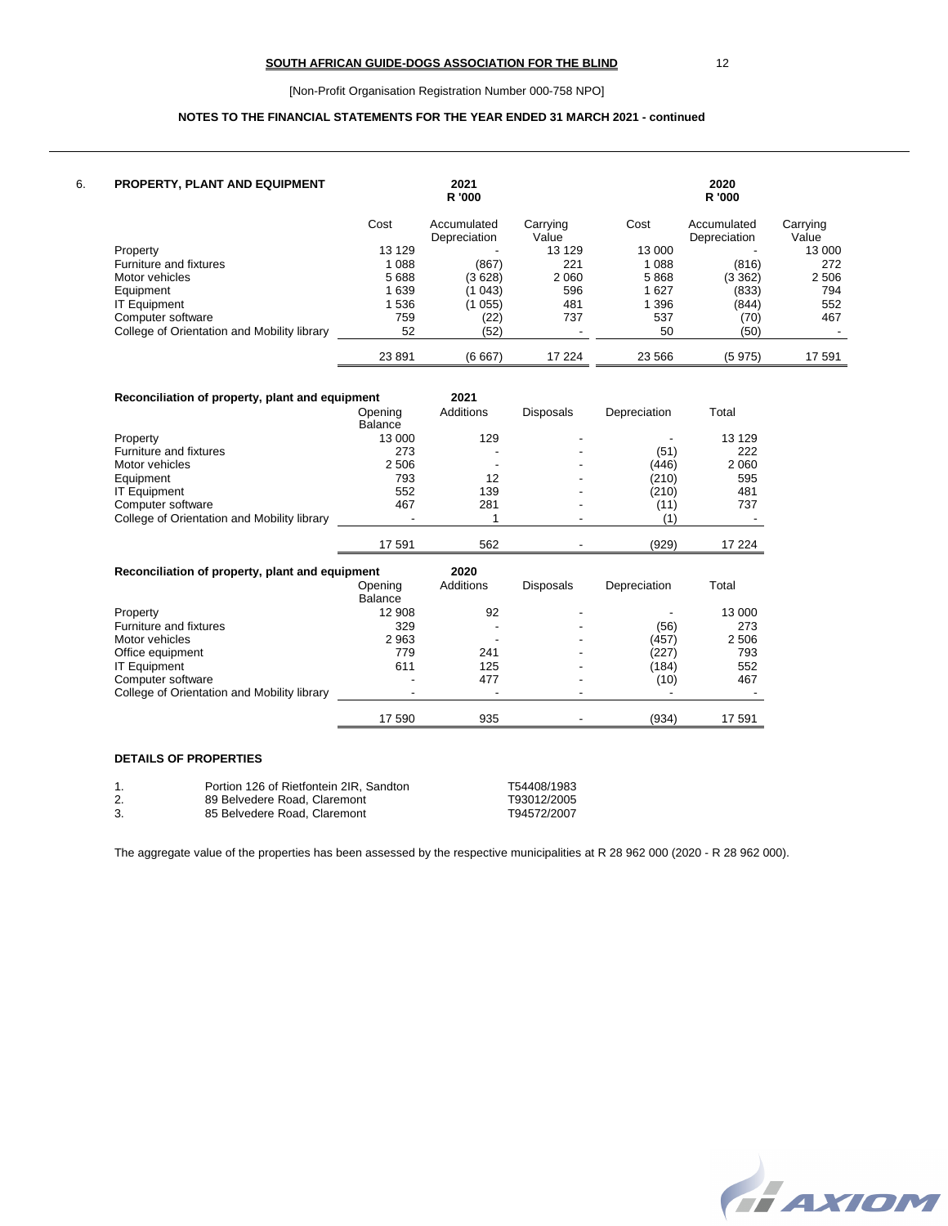# **NOTES TO THE FINANCIAL STATEMENTS FOR THE YEAR ENDED 31 MARCH 2021 - continued**

| PROPERTY, PLANT AND EQUIPMENT                   |                    | 2021<br>R '000              |                          |                | 2020<br>R '000              |                   |
|-------------------------------------------------|--------------------|-----------------------------|--------------------------|----------------|-----------------------------|-------------------|
|                                                 | Cost               | Accumulated<br>Depreciation | Carrying<br>Value        | Cost           | Accumulated<br>Depreciation | Carrying<br>Value |
| Property                                        | 13 129             |                             | 13 129                   | 13 000         |                             | 13 000            |
| Furniture and fixtures                          | 1 0 8 8            | (867)                       | 221                      | 1 0 8 8        | (816)                       | 272               |
| Motor vehicles                                  | 5 6 8 8            | (3628)                      | 2 0 6 0                  | 5868           | (3362)                      | 2 5 0 6           |
| Equipment                                       | 1 639              | (1043)                      | 596                      | 1 6 2 7        | (833)                       |                   |
| <b>IT Equipment</b>                             | 1536               | (1055)                      | 481                      | 1 3 9 6        | (844)                       | 794<br>552        |
| Computer software                               | 759                | (22)                        | 737                      | 537            | (70)                        |                   |
| College of Orientation and Mobility library     | 52                 | (52)                        | $\overline{\phantom{a}}$ | 50             | (50)                        |                   |
|                                                 | 23 891             | (6667)                      | 17 224                   | 23 5 66        | (5975)                      | 17 591            |
|                                                 |                    |                             |                          |                |                             |                   |
| Reconciliation of property, plant and equipment |                    | 2021                        |                          |                |                             |                   |
|                                                 | Opening<br>Balance | Additions                   | <b>Disposals</b>         | Depreciation   | Total                       |                   |
| Property                                        | 13 000             | 129                         |                          | $\blacksquare$ | 13 1 29                     |                   |
| Furniture and fixtures                          | 273                | $\overline{\phantom{a}}$    |                          | (51)           | 222                         |                   |
| Motor vehicles                                  | 2 5 0 6            | $\blacksquare$              |                          | (446)          | 2 0 6 0                     |                   |
| Equipment                                       | 793                | 12                          |                          | (210)          | 595                         |                   |
| <b>IT Equipment</b>                             | 552                | 139                         |                          | (210)          | 481                         |                   |
| Computer software                               | 467                | 281                         |                          | (11)           | 737                         |                   |
| College of Orientation and Mobility library     | $\sim$ $\sim$      | $\mathbf{1}$                |                          | (1)            | $\sim$                      |                   |
|                                                 | 17 591             | 562                         |                          | (929)          | 17 224                      |                   |
| Reconciliation of property, plant and equipment |                    | 2020                        |                          |                |                             |                   |
|                                                 | Opening<br>Balance | Additions                   | <b>Disposals</b>         | Depreciation   | Total                       |                   |
| Property                                        | 12 908             | 92                          |                          |                | 13 000                      |                   |
| Furniture and fixtures                          | 329                | $\overline{\phantom{a}}$    |                          | (56)           | 273                         |                   |
| Motor vehicles                                  | 2 9 6 3            | $\overline{\phantom{a}}$    |                          | (457)          | 2 5 0 6                     |                   |
| Office equipment                                | 779                | 241                         |                          | (227)          | 793                         |                   |
| <b>IT Equipment</b>                             | 611                | 125                         |                          | (184)          | 552                         |                   |
| Computer software                               |                    | 477                         |                          | (10)           | 467                         |                   |
| College of Orientation and Mobility library     |                    | $\blacksquare$              |                          |                |                             |                   |
|                                                 | 17 590             | 935                         | $\sim$                   | (934)          | 17591                       |                   |

|    | Portion 126 of Rietfontein 2IR, Sandton | T54408/1983 |
|----|-----------------------------------------|-------------|
| 2. | 89 Belvedere Road, Claremont            | T93012/2005 |
|    | 85 Belvedere Road, Claremont            | T94572/2007 |

The aggregate value of the properties has been assessed by the respective municipalities at R 28 962 000 (2020 - R 28 962 000).

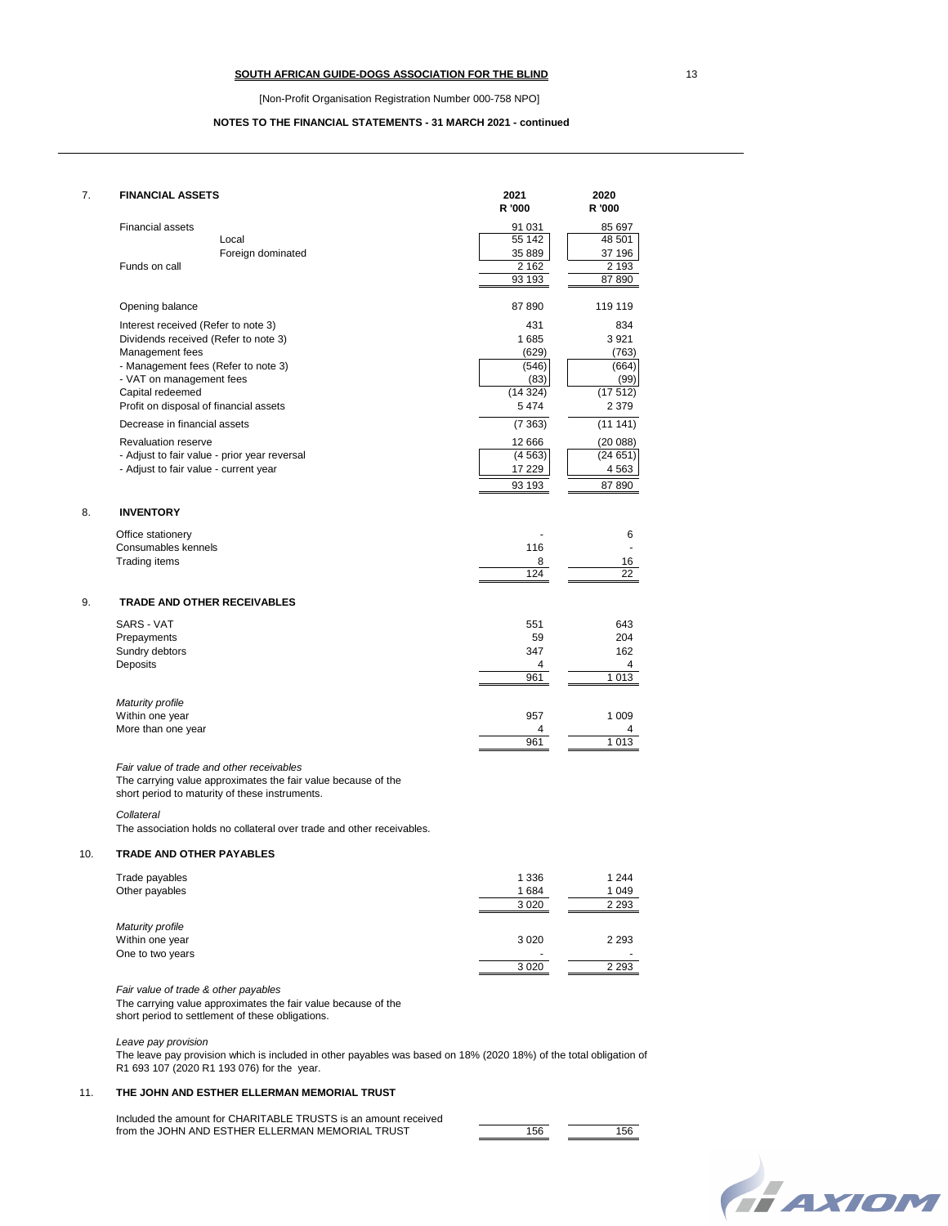#### **NOTES TO THE FINANCIAL STATEMENTS - 31 MARCH 2021 - continued**

### 7. **FINANCIAL ASSETS 2021 2020**

| <b>Financial assets</b>                                                                                         | 91 031  | 85 697   |
|-----------------------------------------------------------------------------------------------------------------|---------|----------|
|                                                                                                                 |         |          |
| Local                                                                                                           | 55 142  | 48 501   |
| Foreign dominated                                                                                               | 35 889  | 37 196   |
| Funds on call                                                                                                   | 2 1 6 2 | 2 1 9 3  |
|                                                                                                                 | 93 193  | 87 890   |
| Opening balance                                                                                                 | 87890   | 119 119  |
| Interest received (Refer to note 3)                                                                             | 431     | 834      |
| Dividends received (Refer to note 3)                                                                            | 1685    | 3 9 21   |
| Management fees                                                                                                 | (629)   | (763)    |
| - Management fees (Refer to note 3)                                                                             | (546)   | (664)    |
| - VAT on management fees                                                                                        | (83)    | (99)     |
| Capital redeemed                                                                                                | (14324) | (17512)  |
| Profit on disposal of financial assets                                                                          | 5474    | 2 3 7 9  |
| Decrease in financial assets                                                                                    | (7363)  | (111141) |
| <b>Revaluation reserve</b>                                                                                      | 12 6 66 | (20088)  |
| - Adjust to fair value - prior year reversal                                                                    | (4563)  | (24651)  |
| - Adjust to fair value - current year                                                                           | 17 229  | 4563     |
|                                                                                                                 | 93 193  | 87 890   |
| <b>INVENTORY</b><br>8.                                                                                          |         |          |
| Office stationery                                                                                               |         | 6        |
| Consumables kennels                                                                                             | 116     |          |
| <b>Trading items</b>                                                                                            | 8       | 16       |
|                                                                                                                 | 124     | 22       |
| 9.<br>TRADE AND OTHER RECEIVABLES                                                                               |         |          |
| SARS - VAT                                                                                                      | 551     | 643      |
| Prepayments                                                                                                     | 59      | 204      |
| Sundry debtors                                                                                                  | 347     | 162      |
| Deposits                                                                                                        | 4       | 4        |
|                                                                                                                 | 961     | 1 0 1 3  |
| Maturity profile                                                                                                |         |          |
| Within one year                                                                                                 | 957     | 1 0 0 9  |
| More than one year                                                                                              |         |          |
|                                                                                                                 | 961     | 1013     |
| Fair value of trade and other receivables                                                                       |         |          |
| The carrying value approximates the fair value because of the<br>short period to maturity of these instruments. |         |          |
| Collateral                                                                                                      |         |          |
| The association holds no collateral over trade and other receivables.                                           |         |          |
| <b>TRADE AND OTHER PAYABLES</b><br>10.                                                                          |         |          |
| Trade payables                                                                                                  | 1 3 3 6 | 1 2 4 4  |
| Other payables                                                                                                  | 1684    | 1 0 4 9  |
|                                                                                                                 | 3 0 2 0 | 2 2 9 3  |

|                                            | ∪∠∪ ن   | د دی ے  |
|--------------------------------------------|---------|---------|
| <b>Maturity profile</b><br>Within one year | 3 0 2 0 | 2 2 9 3 |
| One to two years                           | 3 0 2 0 | 2 2 9 3 |
|                                            |         |         |

*Fair value of trade & other payables*

The carrying value approximates the fair value because of the short period to settlement of these obligations.

*Leave pay provision*

The leave pay provision which is included in other payables was based on 18% (2020 18%) of the total obligation of R1 693 107 (2020 R1 193 076) for the year.

### 11. **THE JOHN AND ESTHER ELLERMAN MEMORIAL TRUST**

Included the amount for CHARITABLE TRUSTS is an amount received from the JOHN AND ESTHER ELLERMAN MEMORIAL TRUST 156 156 156 156